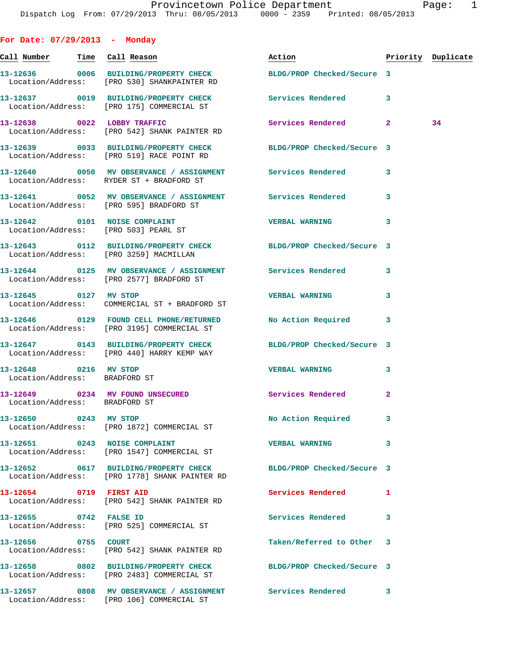**For Date: 07/29/2013 - Monday Call Number Time Call Reason Action Priority Duplicate 13-12636 0006 BUILDING/PROPERTY CHECK BLDG/PROP Checked/Secure 3**  Location/Address: [PRO 530] SHANKPAINTER RD **13-12637 0019 BUILDING/PROPERTY CHECK Services Rendered 3**  Location/Address: [PRO 175] COMMERCIAL ST **13-12638 0022 LOBBY TRAFFIC Services Rendered 2 34**  Location/Address: [PRO 542] SHANK PAINTER RD **13-12639 0033 BUILDING/PROPERTY CHECK BLDG/PROP Checked/Secure 3**  Location/Address: [PRO 519] RACE POINT RD **13-12640 0050 MV OBSERVANCE / ASSIGNMENT Services Rendered 3**  Location/Address: RYDER ST + BRADFORD ST **13-12641 0052 MV OBSERVANCE / ASSIGNMENT Services Rendered 3**  Location/Address: [PRO 595] BRADFORD ST **13-12642 0101 NOISE COMPLAINT VERBAL WARNING 3**  Location/Address: [PRO 503] PEARL ST **13-12643 0112 BUILDING/PROPERTY CHECK BLDG/PROP Checked/Secure 3**  Location/Address: [PRO 3259] MACMILLAN **13-12644 0125 MV OBSERVANCE / ASSIGNMENT Services Rendered 3**  Location/Address: [PRO 2577] BRADFORD ST **13-12645 0127 MV STOP VERBAL WARNING 3**  Location/Address: COMMERCIAL ST + BRADFORD ST **13-12646 0129 FOUND CELL PHONE/RETURNED No Action Required 3**  Location/Address: [PRO 3195] COMMERCIAL ST **13-12647 0143 BUILDING/PROPERTY CHECK BLDG/PROP Checked/Secure 3**  Location/Address: [PRO 440] HARRY KEMP WAY **13-12648 0216 MV STOP VERBAL WARNING 3**  Location/Address: BRADFORD ST **13-12649 0234 MV FOUND UNSECURED Services Rendered 2**  Location/Address: BRADFORD ST **13-12650 0243 MV STOP No Action Required 3**  Location/Address: [PRO 1872] COMMERCIAL ST **13-12651 0243 NOISE COMPLAINT VERBAL WARNING 3**  Location/Address: [PRO 1547] COMMERCIAL ST **13-12652 0617 BUILDING/PROPERTY CHECK BLDG/PROP Checked/Secure 3**  Location/Address: [PRO 1778] SHANK PAINTER RD **13-12654 0719 FIRST AID Services Rendered 1**  Location/Address: [PRO 542] SHANK PAINTER RD **13-12655 0742 FALSE ID Services Rendered 3**  Location/Address: [PRO 525] COMMERCIAL ST **13-12656 0755 COURT Taken/Referred to Other 3**  Location/Address: [PRO 542] SHANK PAINTER RD **13-12658 0802 BUILDING/PROPERTY CHECK BLDG/PROP Checked/Secure 3**  Location/Address: [PRO 2483] COMMERCIAL ST

**13-12657 0808 MV OBSERVANCE / ASSIGNMENT Services Rendered 3**  Location/Address: [PRO 106] COMMERCIAL ST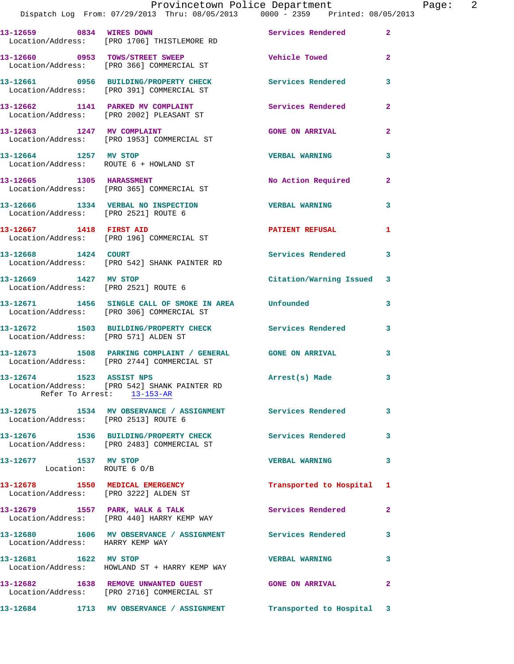|                                                | Provincetown Police Department The Page: 2<br>Dispatch Log From: 07/29/2013 Thru: 08/05/2013 0000 - 2359 Printed: 08/05/2013 |                           |              |
|------------------------------------------------|------------------------------------------------------------------------------------------------------------------------------|---------------------------|--------------|
|                                                | 13-12659 0834 WIRES DOWN<br>Location/Address: [PRO 1706] THISTLEMORE RD                                                      | Services Rendered         | $\mathbf{2}$ |
|                                                | 13-12660 0953 TOWS/STREET SWEEP Wehicle Towed<br>Location/Address: [PRO 366] COMMERCIAL ST                                   |                           | $\mathbf{2}$ |
|                                                | 13-12661     0956   BUILDING/PROPERTY CHECK        Services Rendered<br>Location/Address:   [PRO 391] COMMERCIAL ST          |                           | 3            |
|                                                | 13-12662 1141 PARKED MV COMPLAINT<br>Location/Address: [PRO 2002] PLEASANT ST                                                | Services Rendered         | $\mathbf{2}$ |
|                                                | 13-12663 1247 MV COMPLAINT<br>Location/Address: [PRO 1953] COMMERCIAL ST                                                     | <b>GONE ON ARRIVAL</b>    | $\mathbf{2}$ |
|                                                | 13-12664 1257 MV STOP<br>Location/Address: ROUTE 6 + HOWLAND ST                                                              | <b>VERBAL WARNING</b>     | 3            |
|                                                | 13-12665 1305 HARASSMENT<br>Location/Address: [PRO 365] COMMERCIAL ST                                                        | No Action Required 2      |              |
| Location/Address: [PRO 2521] ROUTE 6           | 13-12666 1334 VERBAL NO INSPECTION TERBAL WARNING                                                                            |                           | 3            |
|                                                | 13-12667 1418 FIRST AID<br>Location/Address: [PRO 196] COMMERCIAL ST                                                         | PATIENT REFUSAL 1         |              |
|                                                | 13-12668 1424 COURT<br>Location/Address: [PRO 542] SHANK PAINTER RD                                                          | <b>Services Rendered</b>  | 3            |
| 13-12669 1427 MV STOP                          | Location/Address: [PRO 2521] ROUTE 6                                                                                         | Citation/Warning Issued 3 |              |
|                                                | 13-12671 1456 SINGLE CALL OF SMOKE IN AREA Unfounded<br>Location/Address: [PRO 306] COMMERCIAL ST                            |                           | 3            |
| Location/Address: [PRO 571] ALDEN ST           | 13-12672 1503 BUILDING/PROPERTY CHECK Services Rendered 3                                                                    |                           |              |
|                                                |                                                                                                                              |                           | $\mathbf{3}$ |
|                                                | 13-12674 1523 ASSIST NPS<br>Location/Address: [PRO 542] SHANK PAINTER RD<br>Refer To Arrest: 13-153-AR                       | Arrest(s) Made            |              |
| Location/Address: [PRO 2513] ROUTE 6           | 13-12675 1534 MV OBSERVANCE / ASSIGNMENT Services Rendered                                                                   |                           | $\mathbf{3}$ |
|                                                | 13-12676 1536 BUILDING/PROPERTY CHECK Services Rendered 3<br>Location/Address: [PRO 2483] COMMERCIAL ST                      |                           |              |
| 13-12677 1537 MV STOP<br>Location: ROUTE 6 O/B |                                                                                                                              | <b>VERBAL WARNING</b>     | 3            |
|                                                | 13-12678 1550 MEDICAL EMERGENCY<br>Location/Address: [PRO 3222] ALDEN ST                                                     | Transported to Hospital 1 |              |
|                                                | 13-12679 1557 PARK, WALK & TALK 1988 Services Rendered<br>Location/Address: [PRO 440] HARRY KEMP WAY                         |                           | 2            |
| Location/Address: HARRY KEMP WAY               | 13-12680 1606 MV OBSERVANCE / ASSIGNMENT Services Rendered                                                                   |                           | 3            |
| 13-12681 1622 MV STOP                          | Location/Address: HOWLAND ST + HARRY KEMP WAY                                                                                | <b>VERBAL WARNING</b>     | 3            |
|                                                | 13-12682 1638 REMOVE UNWANTED GUEST<br>Location/Address: [PRO 2716] COMMERCIAL ST                                            | <b>GONE ON ARRIVAL</b>    | $\mathbf{2}$ |

**13-12684 1713 MV OBSERVANCE / ASSIGNMENT Transported to Hospital 3**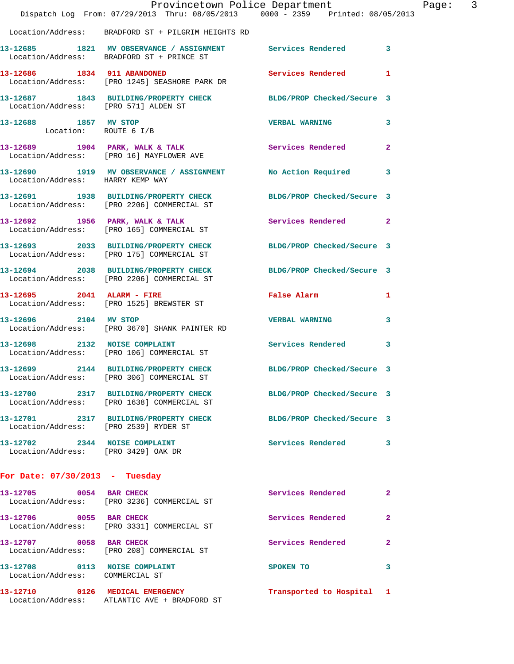|                                                                      | Dispatch Log From: 07/29/2013 Thru: 08/05/2013 0000 - 2359 Printed: 08/05/2013                                 | Provincetown Police Department | Page: 3      |
|----------------------------------------------------------------------|----------------------------------------------------------------------------------------------------------------|--------------------------------|--------------|
|                                                                      | Location/Address: BRADFORD ST + PILGRIM HEIGHTS RD                                                             |                                |              |
|                                                                      | 13-12685 1821 MV OBSERVANCE / ASSIGNMENT Services Rendered 3<br>Location/Address: BRADFORD ST + PRINCE ST      |                                |              |
|                                                                      | 13-12686 1834 911 ABANDONED<br>Location/Address: [PRO 1245] SEASHORE PARK DR                                   | Services Rendered 1            |              |
| Location/Address: [PRO 571] ALDEN ST                                 | 13-12687 1843 BUILDING/PROPERTY CHECK BLDG/PROP Checked/Secure 3                                               |                                |              |
| 13-12688 1857 MV STOP<br>Location: ROUTE 6 I/B                       |                                                                                                                | <b>VERBAL WARNING</b>          | 3            |
|                                                                      | 13-12689 1904 PARK, WALK & TALK 1999 Services Rendered<br>Location/Address: [PRO 16] MAYFLOWER AVE             |                                | $\mathbf{2}$ |
|                                                                      | 13-12690 1919 MV OBSERVANCE / ASSIGNMENT No Action Required 3<br>Location/Address: HARRY KEMP WAY              |                                |              |
|                                                                      | 13-12691 1938 BUILDING/PROPERTY CHECK BLDG/PROP Checked/Secure 3<br>Location/Address: [PRO 2206] COMMERCIAL ST |                                |              |
|                                                                      | 13-12692 1956 PARK, WALK & TALK<br>Location/Address: [PRO 165] COMMERCIAL ST                                   | Services Rendered 2            |              |
|                                                                      | 13-12693 2033 BUILDING/PROPERTY CHECK BLDG/PROP Checked/Secure 3<br>Location/Address: [PRO 175] COMMERCIAL ST  |                                |              |
|                                                                      | 13-12694 2038 BUILDING/PROPERTY CHECK BLDG/PROP Checked/Secure 3<br>Location/Address: [PRO 2206] COMMERCIAL ST |                                |              |
|                                                                      | 13-12695 2041 ALARM - FIRE<br>Location/Address: [PRO 1525] BREWSTER ST                                         | False Alarm                    | 1            |
| 13-12696 2104 MV STOP                                                | Location/Address: [PRO 3670] SHANK PAINTER RD                                                                  | <b>VERBAL WARNING</b>          | 3            |
|                                                                      | 13-12698 2132 NOISE COMPLAINT<br>Location/Address: [PRO 106] COMMERCIAL ST                                     | <b>Services Rendered</b>       | 3            |
|                                                                      | 13-12699 2144 BUILDING/PROPERTY CHECK<br>Location/Address: [PRO 306] COMMERCIAL ST                             | BLDG/PROP Checked/Secure 3     |              |
|                                                                      | 13-12700 2317 BUILDING/PROPERTY CHECK BLDG/PROP Checked/Secure 3<br>Location/Address: [PRO 1638] COMMERCIAL ST |                                |              |
|                                                                      | 13-12701 2317 BUILDING/PROPERTY CHECK BLDG/PROP Checked/Secure 3<br>Location/Address: [PRO 2539] RYDER ST      |                                |              |
| 13-12702 2344 NOISE COMPLAINT<br>Location/Address: [PRO 3429] OAK DR |                                                                                                                | <b>Services Rendered</b>       | 3            |
| For Date: $07/30/2013$ - Tuesday                                     |                                                                                                                |                                |              |
|                                                                      | 13-12705 0054 BAR CHECK<br>Location/Address: [PRO 3236] COMMERCIAL ST                                          | Services Rendered              | 2            |
|                                                                      | 13-12706 0055 BAR CHECK<br>Location/Address: [PRO 3331] COMMERCIAL ST                                          | Services Rendered              | $\mathbf{2}$ |
|                                                                      | 13-12707 0058 BAR CHECK<br>Location/Address: [PRO 208] COMMERCIAL ST                                           | Services Rendered              | $\mathbf{2}$ |
| 13-12708 0113 NOISE COMPLAINT<br>Location/Address: COMMERCIAL ST     |                                                                                                                | SPOKEN TO                      | 3            |
|                                                                      | 13-12710 0126 MEDICAL EMERGENCY<br>Location/Address: ATLANTIC AVE + BRADFORD ST                                | Transported to Hospital 1      |              |
|                                                                      |                                                                                                                |                                |              |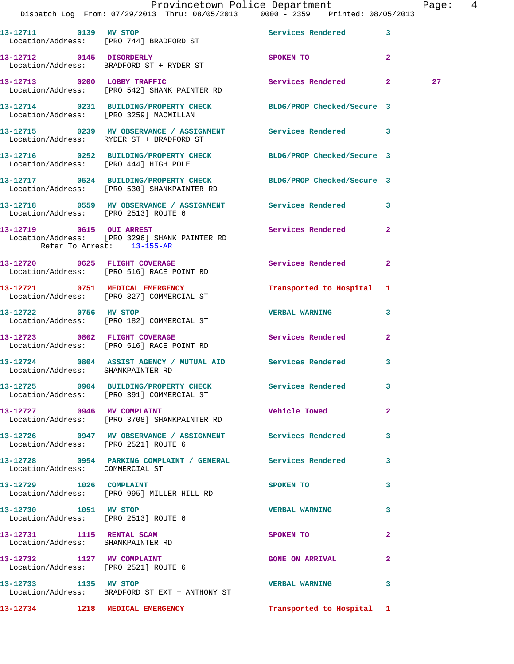|                       | Provincetown Police Department<br>Dispatch Log From: 07/29/2013 Thru: 08/05/2013 0000 - 2359 Printed: 08/05/2013 |           |                                                                                                                                                                                                                                |                | Page: 4 |  |
|-----------------------|------------------------------------------------------------------------------------------------------------------|-----------|--------------------------------------------------------------------------------------------------------------------------------------------------------------------------------------------------------------------------------|----------------|---------|--|
|                       |                                                                                                                  |           |                                                                                                                                                                                                                                |                |         |  |
|                       | 13-12711 0139 MV STOP<br>Location/Address: [PRO 744] BRADFORD ST                                                 |           | Services Rendered 3                                                                                                                                                                                                            |                |         |  |
|                       | 13-12712 0145 DISORDERLY<br>Location/Address: BRADFORD ST + RYDER ST                                             |           | SPOKEN TO AND TO A RESIDENCE A RESIDENCE OF A RESIDENCE OF A RESIDENCE OF A RESIDENCE OF A REPORT OF A REPORT OF A REPORT OF A REPORT OF A REPORT OF A REPORT OF A REPORT OF A REPORT OF A REPORT OF A REPORT OF A REPORT OF A | $\overline{2}$ |         |  |
|                       | 13-12713 0200 LOBBY TRAFFIC<br>Location/Address: [PRO 542] SHANK PAINTER RD                                      |           | Services Rendered 2                                                                                                                                                                                                            |                | 27      |  |
|                       | 13-12714 0231 BUILDING/PROPERTY CHECK BLDG/PROP Checked/Secure 3<br>Location/Address: [PRO 3259] MACMILLAN       |           |                                                                                                                                                                                                                                |                |         |  |
|                       | 13-12715 0239 MV OBSERVANCE / ASSIGNMENT Services Rendered 3<br>Location/Address: RYDER ST + BRADFORD ST         |           |                                                                                                                                                                                                                                |                |         |  |
|                       | 13-12716 0252 BUILDING/PROPERTY CHECK BLDG/PROP Checked/Secure 3<br>Location/Address: [PRO 444] HIGH POLE        |           |                                                                                                                                                                                                                                |                |         |  |
|                       | 13-12717 0524 BUILDING/PROPERTY CHECK BLDG/PROP Checked/Secure 3<br>Location/Address: [PRO 530] SHANKPAINTER RD  |           |                                                                                                                                                                                                                                |                |         |  |
|                       | 13-12718 0559 MV OBSERVANCE / ASSIGNMENT Services Rendered 3<br>Location/Address: [PRO 2513] ROUTE 6             |           |                                                                                                                                                                                                                                |                |         |  |
|                       | 13-12719 0615 OUI ARREST<br>Location/Address: [PRO 3296] SHANK PAINTER RD<br>Refer To Arrest: 13-155-AR          |           | Services Rendered 2                                                                                                                                                                                                            |                |         |  |
|                       | 13-12720 0625 FLIGHT COVERAGE<br>Location/Address: [PRO 516] RACE POINT RD                                       |           | Services Rendered 2                                                                                                                                                                                                            |                |         |  |
|                       | 13-12721 0751 MEDICAL EMERGENCY<br>Location/Address: [PRO 327] COMMERCIAL ST                                     |           | Transported to Hospital 1                                                                                                                                                                                                      |                |         |  |
|                       | 13-12722 0756 MV STOP<br>Location/Address: [PRO 182] COMMERCIAL ST                                               |           | <b>VERBAL WARNING</b>                                                                                                                                                                                                          | $\mathbf{3}$   |         |  |
|                       | 13-12723 0802 FLIGHT COVERAGE<br>Location/Address: [PRO 516] RACE POINT RD                                       |           | Services Rendered                                                                                                                                                                                                              | $\overline{2}$ |         |  |
|                       | 13-12724 0804 ASSIST AGENCY / MUTUAL AID Services Rendered 3<br>Location/Address: SHANKPAINTER RD                |           |                                                                                                                                                                                                                                |                |         |  |
|                       | 13-12725 0904 BUILDING/PROPERTY CHECK Services Rendered 3<br>Location/Address: [PRO 391] COMMERCIAL ST           |           |                                                                                                                                                                                                                                |                |         |  |
|                       | 13-12727 0946 MV COMPLAINT<br>Location/Address: [PRO 3708] SHANKPAINTER RD                                       |           | Vehicle Towed 2                                                                                                                                                                                                                |                |         |  |
|                       | 13-12726 0947 MV OBSERVANCE / ASSIGNMENT Services Rendered 3<br>Location/Address: [PRO 2521] ROUTE 6             |           |                                                                                                                                                                                                                                |                |         |  |
|                       | 13-12728 0954 PARKING COMPLAINT / GENERAL Services Rendered<br>Location/Address: COMMERCIAL ST                   |           |                                                                                                                                                                                                                                | 3              |         |  |
|                       | 13-12729 1026 COMPLAINT<br>Location/Address: [PRO 995] MILLER HILL RD                                            |           | SPOKEN TO THE STATE OF THE SPOKEN TO                                                                                                                                                                                           | 3              |         |  |
|                       | 13-12730 1051 MV STOP<br>Location/Address: [PRO 2513] ROUTE 6                                                    |           | <b>VERBAL WARNING</b>                                                                                                                                                                                                          | 3              |         |  |
|                       | 13-12731 1115 RENTAL SCAM<br>Location/Address: SHANKPAINTER RD                                                   | SPOKEN TO |                                                                                                                                                                                                                                | $\mathbf{2}$   |         |  |
|                       | 13-12732 1127 MV COMPLAINT<br>Location/Address: [PRO 2521] ROUTE 6                                               |           | <b>GONE ON ARRIVAL</b>                                                                                                                                                                                                         | $\mathbf{2}$   |         |  |
| 13-12733 1135 MV STOP | Location/Address: BRADFORD ST EXT + ANTHONY ST                                                                   |           | <b>VERBAL WARNING</b>                                                                                                                                                                                                          | 3              |         |  |
|                       | 13-12734 1218 MEDICAL EMERGENCY                                                                                  |           | Transported to Hospital 1                                                                                                                                                                                                      |                |         |  |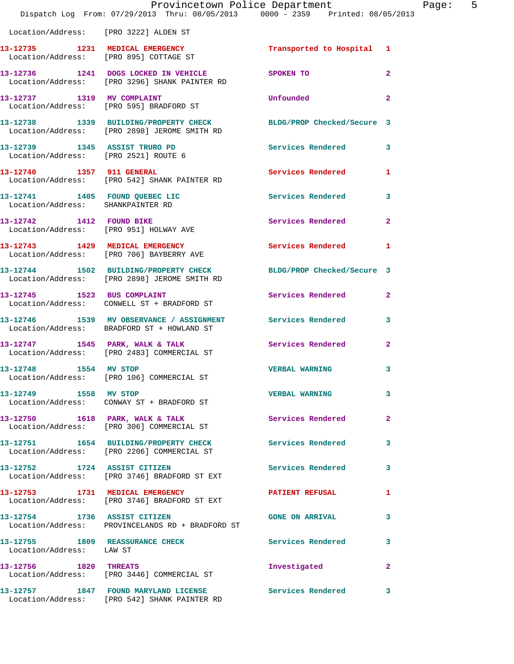|                                                             | Provincetown Police Department<br>Dispatch Log From: 07/29/2013 Thru: 08/05/2013 0000 - 2359 Printed: 08/05/2013 |                            |                |
|-------------------------------------------------------------|------------------------------------------------------------------------------------------------------------------|----------------------------|----------------|
| Location/Address: [PRO 3222] ALDEN ST                       |                                                                                                                  |                            |                |
|                                                             | 13-12735 1231 MEDICAL EMERGENCY<br>Location/Address: [PRO 895] COTTAGE ST                                        | Transported to Hospital 1  |                |
|                                                             | 13-12736 1241 DOGS LOCKED IN VEHICLE<br>Location/Address: [PRO 3296] SHANK PAINTER RD                            | SPOKEN TO                  | $\overline{a}$ |
| 13-12737 1319 MV COMPLAINT                                  | Location/Address: [PRO 595] BRADFORD ST                                                                          | Unfounded                  | $\overline{a}$ |
|                                                             | 13-12738 1339 BUILDING/PROPERTY CHECK<br>Location/Address: [PRO 2898] JEROME SMITH RD                            | BLDG/PROP Checked/Secure 3 |                |
| Location/Address: [PRO 2521] ROUTE 6                        | 13-12739 1345 ASSIST TRURO PD                                                                                    | <b>Services Rendered</b>   | 3              |
| 13-12740 1357 911 GENERAL                                   | Location/Address: [PRO 542] SHANK PAINTER RD                                                                     | <b>Services Rendered</b>   | 1              |
| Location/Address: SHANKPAINTER RD                           | 13-12741 1405 FOUND QUEBEC LIC                                                                                   | Services Rendered          | 3              |
| 13-12742 1412 FOUND BIKE                                    | Location/Address: [PRO 951] HOLWAY AVE                                                                           | Services Rendered          | $\overline{2}$ |
|                                                             | 13-12743 1429 MEDICAL EMERGENCY<br>Location/Address: [PRO 706] BAYBERRY AVE                                      | <b>Services Rendered</b>   | 1              |
|                                                             | 13-12744 1502 BUILDING/PROPERTY CHECK BLDG/PROP Checked/Secure 3<br>Location/Address: [PRO 2898] JEROME SMITH RD |                            |                |
|                                                             | 13-12745 1523 BUS COMPLAINT<br>Location/Address: CONWELL ST + BRADFORD ST                                        | Services Rendered          | $\mathbf{2}$   |
|                                                             | 13-12746 1539 MV OBSERVANCE / ASSIGNMENT Services Rendered<br>Location/Address: BRADFORD ST + HOWLAND ST         |                            | 3              |
|                                                             | 13-12747 1545 PARK, WALK & TALK<br>Location/Address: [PRO 2483] COMMERCIAL ST                                    | Services Rendered          | $\overline{2}$ |
| 13-12748 1554 MV STOP                                       | Location/Address: [PRO 106] COMMERCIAL ST                                                                        | <b>VERBAL WARNING</b>      | 3              |
| 13-12749 1558 MV STOP                                       | Location/Address: CONWAY ST + BRADFORD ST                                                                        | <b>VERBAL WARNING</b>      | 3              |
|                                                             | 13-12750 1618 PARK, WALK & TALK<br>Location/Address: [PRO 306] COMMERCIAL ST                                     | <b>Services Rendered</b>   | $\mathbf{2}$   |
|                                                             | 13-12751 1654 BUILDING/PROPERTY CHECK<br>Location/Address: [PRO 2206] COMMERCIAL ST                              | <b>Services Rendered</b>   | 3              |
| 13-12752 1724 ASSIST CITIZEN                                | Location/Address: [PRO 3746] BRADFORD ST EXT                                                                     | Services Rendered          | 3              |
|                                                             | 13-12753 1731 MEDICAL EMERGENCY<br>Location/Address: [PRO 3746] BRADFORD ST EXT                                  | <b>PATIENT REFUSAL</b>     | 1              |
| 13-12754 1736 ASSIST CITIZEN                                | Location/Address: PROVINCELANDS RD + BRADFORD ST                                                                 | <b>GONE ON ARRIVAL</b>     | 3              |
| 13-12755 1809 REASSURANCE CHECK<br>Location/Address: LAW ST |                                                                                                                  | Services Rendered          | 3              |
| 13-12756 1820 THREATS                                       | Location/Address: [PRO 3446] COMMERCIAL ST                                                                       | Investigated               | $\mathbf{2}$   |
|                                                             | 13-12757 1847 FOUND MARYLAND LICENSE<br>Location/Address: [PRO 542] SHANK PAINTER RD                             | <b>Services Rendered</b>   | 3              |

Page: 5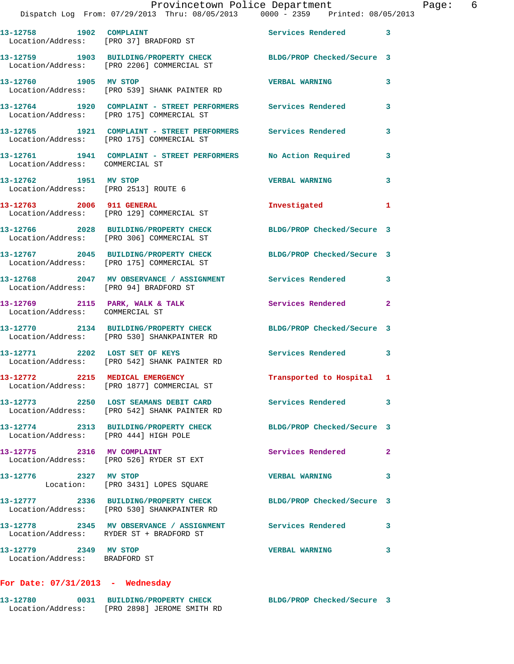13-12758 1902 COMPLAINT **13-12758** 1902 Services Rendered 3 Location/Address: [PRO 37] BRADFORD ST **13-12759 1903 BUILDING/PROPERTY CHECK BLDG/PROP Checked/Secure 3**  Location/Address: [PRO 2206] COMMERCIAL ST **13-12760 1905 MV STOP VERBAL WARNING 3**  Location/Address: [PRO 539] SHANK PAINTER RD **13-12764 1920 COMPLAINT - STREET PERFORMERS Services Rendered 3**  Location/Address: [PRO 175] COMMERCIAL ST **13-12765 1921 COMPLAINT - STREET PERFORMERS Services Rendered 3**  Location/Address: [PRO 175] COMMERCIAL ST **13-12761 1941 COMPLAINT - STREET PERFORMERS No Action Required 3**  Location/Address: COMMERCIAL ST **13-12762 1951 MV STOP VERBAL WARNING 3**  Location/Address: [PRO 2513] ROUTE 6 **13-12763 2006 911 GENERAL Investigated 1**  Location/Address: [PRO 129] COMMERCIAL ST **13-12766 2028 BUILDING/PROPERTY CHECK BLDG/PROP Checked/Secure 3**  Location/Address: [PRO 306] COMMERCIAL ST **13-12767 2045 BUILDING/PROPERTY CHECK BLDG/PROP Checked/Secure 3**  Location/Address: [PRO 175] COMMERCIAL ST **13-12768 2047 MV OBSERVANCE / ASSIGNMENT Services Rendered 3**  Location/Address: [PRO 94] BRADFORD ST 13-12769 2115 PARK, WALK & TALK **Services Rendered** 2 Location/Address: COMMERCIAL ST **13-12770 2134 BUILDING/PROPERTY CHECK BLDG/PROP Checked/Secure 3**  Location/Address: [PRO 530] SHANKPAINTER RD **13-12771 2202 LOST SET OF KEYS Services Rendered 3**  Location/Address: [PRO 542] SHANK PAINTER RD **13-12772 2215 MEDICAL EMERGENCY Transported to Hospital 1**  Location/Address: [PRO 1877] COMMERCIAL ST **13-12773 2250 LOST SEAMANS DEBIT CARD Services Rendered 3**  Location/Address: [PRO 542] SHANK PAINTER RD **13-12774 2313 BUILDING/PROPERTY CHECK BLDG/PROP Checked/Secure 3**  Location/Address: [PRO 444] HIGH POLE 13-12775 2316 MV COMPLAINT **13-12775** Services Rendered 2 Location/Address: [PRO 526] RYDER ST EXT **13-12776 2327 MV STOP VERBAL WARNING 3**  Location: [PRO 3431] LOPES SQUARE **13-12777 2336 BUILDING/PROPERTY CHECK BLDG/PROP Checked/Secure 3**  Location/Address: [PRO 530] SHANKPAINTER RD **13-12778 2345 MV OBSERVANCE / ASSIGNMENT Services Rendered 3**  Location/Address: RYDER ST + BRADFORD ST **13-12779 2349 MV STOP VERBAL WARNING 3**  Location/Address: BRADFORD ST

#### **For Date: 07/31/2013 - Wednesday**

| 13-12780          | 0031 BUILDING/PROPERTY CHECK | BLDG/PROP Checked/Secure |  |
|-------------------|------------------------------|--------------------------|--|
| Location/Address: | [PRO 2898] JEROME SMITH RD   |                          |  |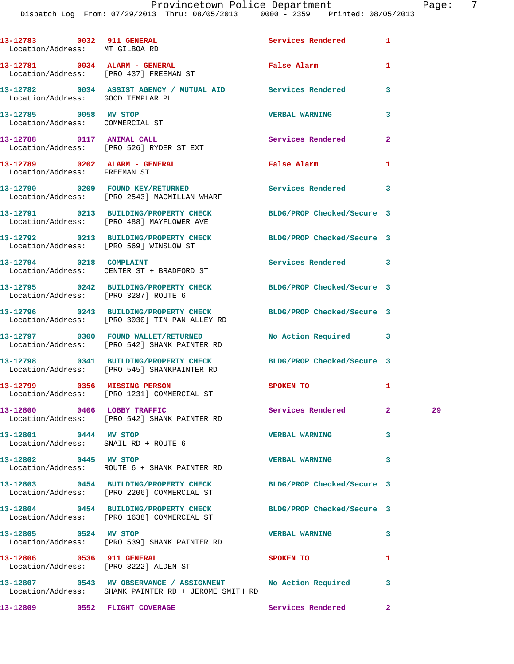| Location/Address: MT GILBOA RD                           | 13-12783 0032 911 GENERAL                                                                                           | Services Rendered 1      |                |    |
|----------------------------------------------------------|---------------------------------------------------------------------------------------------------------------------|--------------------------|----------------|----|
|                                                          | 13-12781 0034 ALARM - GENERAL<br>Location/Address: [PRO 437] FREEMAN ST                                             | False Alarm              | 1              |    |
| Location/Address: GOOD TEMPLAR PL                        | 13-12782 0034 ASSIST AGENCY / MUTUAL AID Services Rendered                                                          |                          | 3              |    |
| 13-12785 0058 MV STOP<br>Location/Address: COMMERCIAL ST |                                                                                                                     | <b>VERBAL WARNING</b>    | 3              |    |
|                                                          | 13-12788 0117 ANIMAL CALL<br>Location/Address: [PRO 526] RYDER ST EXT                                               | <b>Services Rendered</b> | $\mathbf{2}$   |    |
| Location/Address: FREEMAN ST                             | 13-12789 0202 ALARM - GENERAL                                                                                       | False Alarm              | 1              |    |
|                                                          | 13-12790 0209 FOUND KEY/RETURNED Services Rendered 3<br>Location/Address: [PRO 2543] MACMILLAN WHARF                |                          |                |    |
|                                                          | 13-12791 0213 BUILDING/PROPERTY CHECK BLDG/PROP Checked/Secure 3<br>Location/Address: [PRO 488] MAYFLOWER AVE       |                          |                |    |
|                                                          | 13-12792 0213 BUILDING/PROPERTY CHECK BLDG/PROP Checked/Secure 3<br>Location/Address: [PRO 569] WINSLOW ST          |                          |                |    |
|                                                          | 13-12794 0218 COMPLAINT<br>Location/Address: CENTER ST + BRADFORD ST                                                | Services Rendered 3      |                |    |
|                                                          | 13-12795 0242 BUILDING/PROPERTY CHECK BLDG/PROP Checked/Secure 3<br>Location/Address: [PRO 3287] ROUTE 6            |                          |                |    |
|                                                          | 13-12796 0243 BUILDING/PROPERTY CHECK BLDG/PROP Checked/Secure 3<br>Location/Address: [PRO 3030] TIN PAN ALLEY RD   |                          |                |    |
|                                                          | 13-12797 0300 FOUND WALLET/RETURNED No Action Required 3<br>Location/Address: [PRO 542] SHANK PAINTER RD            |                          |                |    |
|                                                          | 13-12798 0341 BUILDING/PROPERTY CHECK BLDG/PROP Checked/Secure 3<br>Location/Address: [PRO 545] SHANKPAINTER RD     |                          |                |    |
|                                                          | 13-12799 0356 MISSING PERSON<br>Location/Address: [PRO 1231] COMMERCIAL ST                                          | <b>SPOKEN TO</b>         | 1              |    |
| 13-12800 0406 LOBBY TRAFFIC                              | Location/Address: [PRO 542] SHANK PAINTER RD                                                                        | Services Rendered        | $\mathbf{2}^-$ | 29 |
| 13-12801 0444 MV STOP                                    | Location/Address: SNAIL RD + ROUTE 6                                                                                | <b>VERBAL WARNING</b>    | 3              |    |
| 13-12802 0445 MV STOP                                    | Location/Address: ROUTE 6 + SHANK PAINTER RD                                                                        | <b>VERBAL WARNING</b>    | 3              |    |
|                                                          | 13-12803 0454 BUILDING/PROPERTY CHECK BLDG/PROP Checked/Secure 3<br>Location/Address: [PRO 2206] COMMERCIAL ST      |                          |                |    |
|                                                          | 13-12804 0454 BUILDING/PROPERTY CHECK BLDG/PROP Checked/Secure 3<br>Location/Address: [PRO 1638] COMMERCIAL ST      |                          |                |    |
| 13-12805 0524 MV STOP                                    | Location/Address: [PRO 539] SHANK PAINTER RD                                                                        | <b>VERBAL WARNING</b>    | 3              |    |
|                                                          | 13-12806 0536 911 GENERAL<br>Location/Address: [PRO 3222] ALDEN ST                                                  | SPOKEN TO                | 1              |    |
|                                                          | 13-12807 0543 MV OBSERVANCE / ASSIGNMENT No Action Required<br>Location/Address: SHANK PAINTER RD + JEROME SMITH RD |                          | 3              |    |
|                                                          | 13-12809 0552 FLIGHT COVERAGE                                                                                       | Services Rendered 2      |                |    |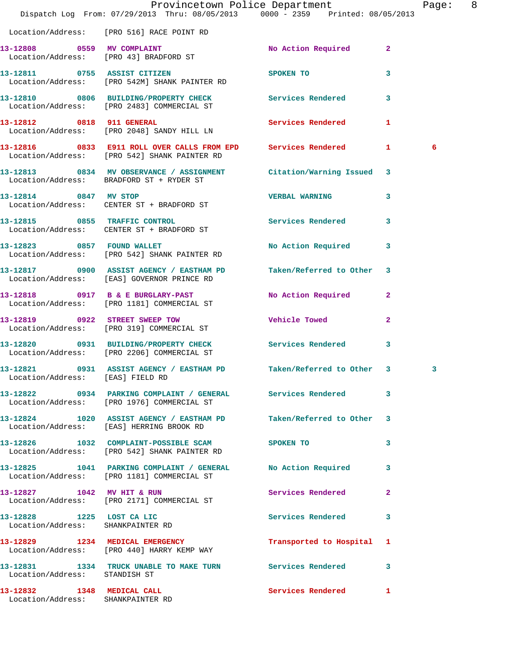|                                                                 | Dispatch Log From: 07/29/2013 Thru: 08/05/2013 0000 - 2359 Printed: 08/05/2013                                   | Provincetown Police Department |                         | Page: 8 |  |
|-----------------------------------------------------------------|------------------------------------------------------------------------------------------------------------------|--------------------------------|-------------------------|---------|--|
|                                                                 | Location/Address: [PRO 516] RACE POINT RD                                                                        |                                |                         |         |  |
|                                                                 | 13-12808 0559 MV COMPLAINT<br>Location/Address: [PRO 43] BRADFORD ST                                             | No Action Required 2           |                         |         |  |
|                                                                 | 13-12811 0755 ASSIST CITIZEN<br>Location/Address: [PRO 542M] SHANK PAINTER RD                                    | SPOKEN TO                      | $\overline{\mathbf{3}}$ |         |  |
|                                                                 | 13-12810 0806 BUILDING/PROPERTY CHECK Services Rendered 3<br>Location/Address: [PRO 2483] COMMERCIAL ST          |                                |                         |         |  |
|                                                                 | 13-12812 0818 911 GENERAL<br>Location/Address: [PRO 2048] SANDY HILL LN                                          | Services Rendered              | 1                       |         |  |
|                                                                 | 13-12816 0833 E911 ROLL OVER CALLS FROM EPD Services Rendered 1<br>Location/Address: [PRO 542] SHANK PAINTER RD  |                                |                         | 6       |  |
|                                                                 | 13-12813 0834 MV OBSERVANCE / ASSIGNMENT Citation/Warning Issued 3<br>Location/Address: BRADFORD ST + RYDER ST   |                                |                         |         |  |
| 13-12814 0847 MV STOP                                           | Location/Address: CENTER ST + BRADFORD ST                                                                        | <b>VERBAL WARNING</b>          | 3                       |         |  |
|                                                                 | 13-12815 0855 TRAFFIC CONTROL<br>Location/Address: CENTER ST + BRADFORD ST                                       | Services Rendered 3            |                         |         |  |
|                                                                 | 13-12823 0857 FOUND WALLET<br>Location/Address: [PRO 542] SHANK PAINTER RD                                       | No Action Required             | $\overline{\mathbf{3}}$ |         |  |
|                                                                 | 13-12817 0900 ASSIST AGENCY / EASTHAM PD Taken/Referred to Other 3<br>Location/Address: [EAS] GOVERNOR PRINCE RD |                                |                         |         |  |
|                                                                 | 13-12818 0917 B & E BURGLARY-PAST<br>Location/Address: [PRO 1181] COMMERCIAL ST                                  | No Action Required 2           |                         |         |  |
| 13-12819 0922 STREET SWEEP TOW                                  | Location/Address: [PRO 319] COMMERCIAL ST                                                                        | Vehicle Towed Toward           | $\overline{2}$          |         |  |
|                                                                 | 13-12820 0931 BUILDING/PROPERTY CHECK<br>Location/Address: [PRO 2206] COMMERCIAL ST                              | <b>Services Rendered</b>       | 3                       |         |  |
|                                                                 | 13-12821 0931 ASSIST AGENCY / EASTHAM PD Taken/Referred to Other 3<br>Location/Address: [EAS] FIELD RD           |                                |                         | 3       |  |
|                                                                 | 13-12822 0934 PARKING COMPLAINT / GENERAL Services Rendered<br>Location/Address: [PRO 1976] COMMERCIAL ST        |                                | 3                       |         |  |
|                                                                 | 13-12824 1020 ASSIST AGENCY / EASTHAM PD<br>Location/Address: [EAS] HERRING BROOK RD                             | Taken/Referred to Other 3      |                         |         |  |
|                                                                 | 13-12826 1032 COMPLAINT-POSSIBLE SCAM SPOKEN TO<br>Location/Address: [PRO 542] SHANK PAINTER RD                  |                                | $\overline{\mathbf{3}}$ |         |  |
|                                                                 | 13-12825 1041 PARKING COMPLAINT / GENERAL No Action Required 3<br>Location/Address: [PRO 1181] COMMERCIAL ST     |                                |                         |         |  |
|                                                                 | 13-12827 1042 MV HIT & RUN<br>Location/Address: [PRO 2171] COMMERCIAL ST                                         | Services Rendered              | $\mathbf{2}$            |         |  |
| 13-12828 1225 LOST CA LIC                                       | Location/Address: SHANKPAINTER RD                                                                                | Services Rendered 3            |                         |         |  |
|                                                                 | 13-12829 1234 MEDICAL EMERGENCY<br>Location/Address: [PRO 440] HARRY KEMP WAY                                    | Transported to Hospital 1      |                         |         |  |
| Location/Address: STANDISH ST                                   | 13-12831 1334 TRUCK UNABLE TO MAKE TURN Services Rendered 3                                                      |                                |                         |         |  |
| 13-12832 1348 MEDICAL CALL<br>Location/Address: SHANKPAINTER RD |                                                                                                                  | Services Rendered              | 1                       |         |  |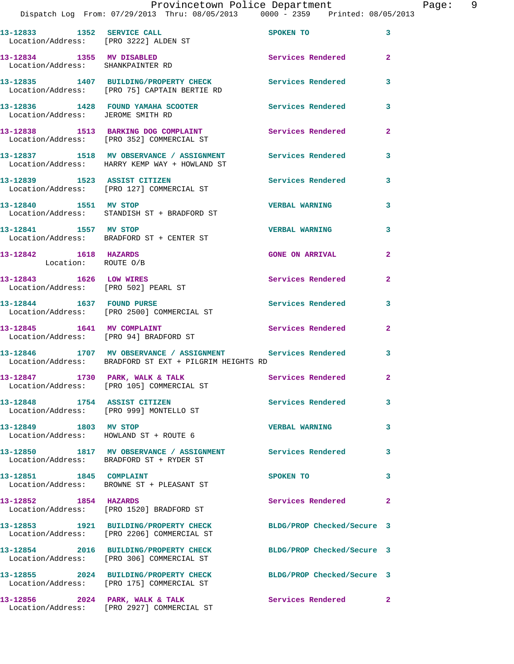### Provincetown Police Department Page: 9

| 13-12833 1352 SERVICE CALL<br>Location/Address: [PRO 3222] ALDEN ST      |                                                                                                                      | SPOKEN TO                  | 3                       |
|--------------------------------------------------------------------------|----------------------------------------------------------------------------------------------------------------------|----------------------------|-------------------------|
| 13-12834 1355 MV DISABLED<br>Location/Address: SHANKPAINTER RD           |                                                                                                                      | Services Rendered          | $\overline{2}$          |
|                                                                          | 13-12835 1407 BUILDING/PROPERTY CHECK Services Rendered<br>Location/Address: [PRO 75] CAPTAIN BERTIE RD              |                            | 3                       |
| Location/Address: JEROME SMITH RD                                        | 13-12836 1428 FOUND YAMAHA SCOOTER Services Rendered                                                                 |                            | 3                       |
|                                                                          | 13-12838 1513 BARKING DOG COMPLAINT<br>Location/Address: [PRO 352] COMMERCIAL ST                                     | <b>Services Rendered</b>   | $\mathbf{2}$            |
|                                                                          | 13-12837 1518 MV OBSERVANCE / ASSIGNMENT Services Rendered<br>Location/Address: HARRY KEMP WAY + HOWLAND ST          |                            | $\mathbf{3}$            |
|                                                                          | 13-12839 1523 ASSIST CITIZEN<br>Location/Address: [PRO 127] COMMERCIAL ST                                            | Services Rendered          | $\mathbf{3}$            |
| 13-12840 1551 MV STOP                                                    | Location/Address: STANDISH ST + BRADFORD ST                                                                          | <b>VERBAL WARNING</b>      | 3                       |
| 13-12841 1557 MV STOP                                                    | Location/Address: BRADFORD ST + CENTER ST                                                                            | <b>VERBAL WARNING</b>      | 3                       |
| 13-12842 1618 HAZARDS<br>Location: ROUTE O/B                             |                                                                                                                      | <b>GONE ON ARRIVAL</b>     | $\mathbf{2}$            |
| 13-12843 1626 LOW WIRES<br>Location/Address: [PRO 502] PEARL ST          |                                                                                                                      | Services Rendered          | $\mathbf{2}$            |
| 13-12844   1637   FOUND PURSE                                            | Location/Address: [PRO 2500] COMMERCIAL ST                                                                           | Services Rendered          | 3                       |
| 13-12845   1641   MV COMPLAINT<br>Location/Address: [PRO 94] BRADFORD ST |                                                                                                                      | <b>Services Rendered</b>   | $\mathbf{2}$            |
|                                                                          | 13-12846 1707 MV OBSERVANCE / ASSIGNMENT Services Rendered<br>Location/Address: BRADFORD ST EXT + PILGRIM HEIGHTS RD |                            | 3                       |
| 13-12847 1730 PARK, WALK & TALK                                          | Location/Address: [PRO 105] COMMERCIAL ST                                                                            | <b>Services Rendered</b>   | $\overline{2}$          |
| 13-12848 1754 ASSIST CITIZEN                                             | Location/Address: [PRO 999] MONTELLO ST                                                                              | <b>Services Rendered</b>   | $\mathbf{3}$            |
| 13-12849 1803 MV STOP                                                    | Location/Address: HOWLAND ST + ROUTE 6                                                                               | <b>VERBAL WARNING</b>      | $\mathbf{3}$            |
|                                                                          | 13-12850 1817 MV OBSERVANCE / ASSIGNMENT Services Rendered<br>Location/Address: BRADFORD ST + RYDER ST               |                            | $\mathbf{3}$            |
| 13-12851 1845 COMPLAINT                                                  | Location/Address: BROWNE ST + PLEASANT ST                                                                            | SPOKEN TO                  | $\mathbf{3}$            |
| 13-12852 1854 HAZARDS                                                    | Location/Address: [PRO 1520] BRADFORD ST                                                                             | Services Rendered          | $\overline{\mathbf{2}}$ |
|                                                                          | 13-12853 1921 BUILDING/PROPERTY CHECK<br>Location/Address: [PRO 2206] COMMERCIAL ST                                  | BLDG/PROP Checked/Secure 3 |                         |
|                                                                          | 13-12854 2016 BUILDING/PROPERTY CHECK<br>Location/Address: [PRO 306] COMMERCIAL ST                                   | BLDG/PROP Checked/Secure 3 |                         |
|                                                                          | 13-12855 2024 BUILDING/PROPERTY CHECK<br>Location/Address: [PRO 175] COMMERCIAL ST                                   | BLDG/PROP Checked/Secure 3 |                         |
|                                                                          | 13-12856 2024 PARK, WALK & TALK<br>Location/Address: [PRO 2927] COMMERCIAL ST                                        | Services Rendered          | $\mathbf{2}$            |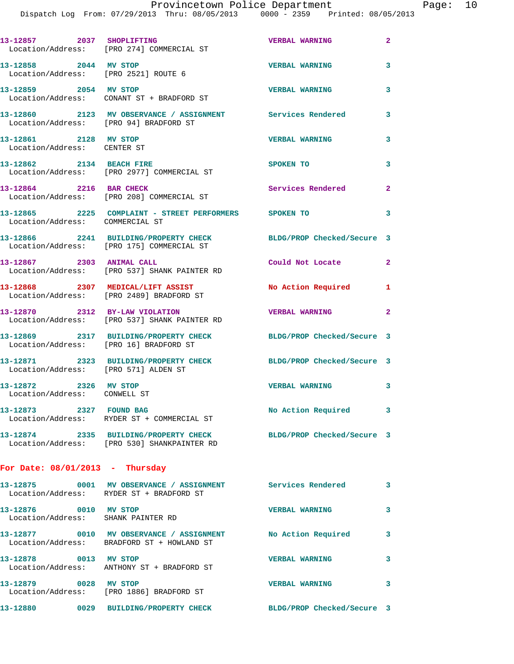| 13-12857 2037 SHOPLIFTING                             | Location/Address: [PRO 274] COMMERCIAL ST                                                                       | <b>VERBAL WARNING</b>      | $\mathbf{2}$            |
|-------------------------------------------------------|-----------------------------------------------------------------------------------------------------------------|----------------------------|-------------------------|
| 13-12858 2044 MV STOP                                 | Location/Address: [PRO 2521] ROUTE 6                                                                            | <b>VERBAL WARNING</b>      | 3                       |
| 13-12859 2054 MV STOP                                 | Location/Address: CONANT ST + BRADFORD ST                                                                       | <b>VERBAL WARNING</b>      | 3                       |
|                                                       | 13-12860 2123 MV OBSERVANCE / ASSIGNMENT Services Rendered<br>Location/Address: [PRO 94] BRADFORD ST            |                            | 3                       |
| 13-12861 2128 MV STOP<br>Location/Address: CENTER ST  |                                                                                                                 | <b>VERBAL WARNING</b>      | 3                       |
| 13-12862 2134 BEACH FIRE                              | Location/Address: [PRO 2977] COMMERCIAL ST                                                                      | SPOKEN TO                  | 3                       |
| 13-12864 2216 BAR CHECK                               | Location/Address: [PRO 208] COMMERCIAL ST                                                                       | <b>Services Rendered</b>   | $\mathbf{2}$            |
| Location/Address: COMMERCIAL ST                       | 13-12865 2225 COMPLAINT - STREET PERFORMERS SPOKEN TO                                                           |                            | 3                       |
|                                                       | 13-12866 2241 BUILDING/PROPERTY CHECK<br>Location/Address: [PRO 175] COMMERCIAL ST                              | BLDG/PROP Checked/Secure 3 |                         |
| 13-12867 2303 ANIMAL CALL                             | Location/Address: [PRO 537] SHANK PAINTER RD                                                                    | Could Not Locate           | $\overline{2}$          |
|                                                       | 13-12868 2307 MEDICAL/LIFT ASSIST<br>Location/Address: [PRO 2489] BRADFORD ST                                   | No Action Required         | 1                       |
| 13-12870 2312 BY-LAW VIOLATION                        | Location/Address: [PRO 537] SHANK PAINTER RD                                                                    | <b>VERBAL WARNING</b>      | $\mathbf{2}$            |
|                                                       | 13-12869 2317 BUILDING/PROPERTY CHECK<br>Location/Address: [PRO 16] BRADFORD ST                                 | BLDG/PROP Checked/Secure 3 |                         |
| Location/Address: [PRO 571] ALDEN ST                  | 13-12871 2323 BUILDING/PROPERTY CHECK                                                                           | BLDG/PROP Checked/Secure 3 |                         |
| 13-12872 2326 MV STOP<br>Location/Address: CONWELL ST |                                                                                                                 | <b>VERBAL WARNING</b>      | 3                       |
| 13-12873 2327 FOUND BAG                               | Location/Address: RYDER ST + COMMERCIAL ST                                                                      | No Action Required         | 3                       |
|                                                       | 13-12874 2335 BUILDING/PROPERTY CHECK BLDG/PROP Checked/Secure 3<br>Location/Address: [PRO 530] SHANKPAINTER RD |                            |                         |
| For Date: $08/01/2013$ - Thursday                     |                                                                                                                 |                            |                         |
|                                                       | 13-12875 0001 MV OBSERVANCE / ASSIGNMENT Services Rendered<br>Location/Address: RYDER ST + BRADFORD ST          |                            | $\overline{\mathbf{3}}$ |
| 13-12876 0010 MV STOP                                 | Location/Address: SHANK PAINTER RD                                                                              | <b>VERBAL WARNING</b>      | 3                       |
|                                                       | 13-12877 0010 MV OBSERVANCE / ASSIGNMENT<br>Location/Address: BRADFORD ST + HOWLAND ST                          | No Action Required         | 3                       |
| 13-12878 0013 MV STOP                                 | Location/Address: ANTHONY ST + BRADFORD ST                                                                      | <b>VERBAL WARNING</b>      | 3                       |
| 13-12879 0028 MV STOP                                 | Location/Address: [PRO 1886] BRADFORD ST                                                                        | <b>VERBAL WARNING</b>      | 3                       |
|                                                       | 13-12880 0029 BUILDING/PROPERTY CHECK BLDG/PROP Checked/Secure 3                                                |                            |                         |
|                                                       |                                                                                                                 |                            |                         |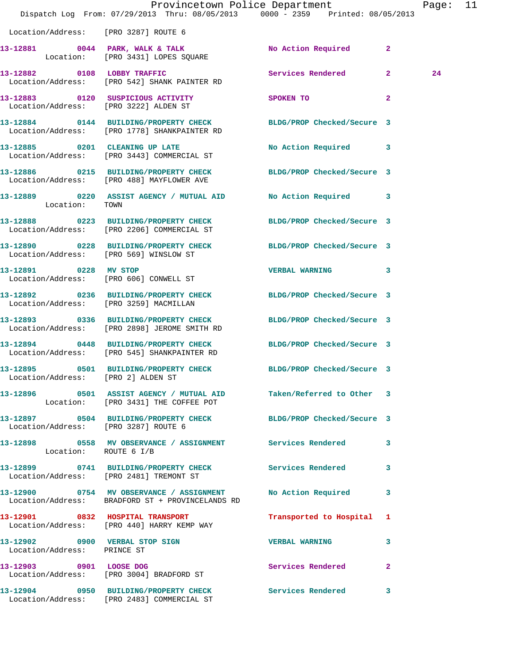|                                        | Dispatch Log From: 07/29/2013 Thru: 08/05/2013 0000 - 2359 Printed: 08/05/2013                                   | Provincetown Police Department | Page: 11                |
|----------------------------------------|------------------------------------------------------------------------------------------------------------------|--------------------------------|-------------------------|
| Location/Address: [PRO 3287] ROUTE 6   |                                                                                                                  |                                |                         |
|                                        | 13-12881 0044 PARK, WALK & TALK<br>Location: [PRO 3431] LOPES SQUARE                                             | No Action Required 2           |                         |
|                                        | 13-12882 0108 LOBBY TRAFFIC<br>Location/Address: [PRO 542] SHANK PAINTER RD                                      | Services Rendered 2            | 24                      |
|                                        | 13-12883 0120 SUSPICIOUS ACTIVITY SPOKEN TO<br>Location/Address: [PRO 3222] ALDEN ST                             |                                | $\mathbf{2}$            |
|                                        | 13-12884 0144 BUILDING/PROPERTY CHECK BLDG/PROP Checked/Secure 3<br>Location/Address: [PRO 1778] SHANKPAINTER RD |                                |                         |
|                                        | 13-12885 0201 CLEANING UP LATE<br>Location/Address: [PRO 3443] COMMERCIAL ST                                     | No Action Required 3           |                         |
|                                        | 13-12886 0215 BUILDING/PROPERTY CHECK BLDG/PROP Checked/Secure 3<br>Location/Address: [PRO 488] MAYFLOWER AVE    |                                |                         |
| Location: TOWN                         | 13-12889 0220 ASSIST AGENCY / MUTUAL AID No Action Required 3                                                    |                                |                         |
|                                        | 13-12888 0223 BUILDING/PROPERTY CHECK BLDG/PROP Checked/Secure 3<br>Location/Address: [PRO 2206] COMMERCIAL ST   |                                |                         |
| Location/Address: [PRO 569] WINSLOW ST | 13-12890 0228 BUILDING/PROPERTY CHECK BLDG/PROP Checked/Secure 3                                                 |                                |                         |
| 13-12891 0228 MV STOP                  | Location/Address: [PRO 606] CONWELL ST                                                                           | VERBAL WARNING 3               |                         |
| Location/Address: [PRO 3259] MACMILLAN | 13-12892 0236 BUILDING/PROPERTY CHECK BLDG/PROP Checked/Secure 3                                                 |                                |                         |
|                                        | 13-12893 0336 BUILDING/PROPERTY CHECK BLDG/PROP Checked/Secure 3<br>Location/Address: [PRO 2898] JEROME SMITH RD |                                |                         |
|                                        | 13-12894 0448 BUILDING/PROPERTY CHECK BLDG/PROP Checked/Secure 3<br>Location/Address: [PRO 545] SHANKPAINTER RD  |                                |                         |
| Location/Address: [PRO 2] ALDEN ST     | 13-12895 0501 BUILDING/PROPERTY CHECK BLDG/PROP Checked/Secure 3                                                 |                                |                         |
|                                        | 13-12896 0501 ASSIST AGENCY / MUTUAL AID Taken/Referred to Other 3<br>Location: [PRO 3431] THE COFFEE POT        |                                |                         |
| Location/Address: [PRO 3287] ROUTE 6   | 13-12897 0504 BUILDING/PROPERTY CHECK BLDG/PROP Checked/Secure 3                                                 |                                |                         |
| Location: ROUTE 6 I/B                  | 13-12898 0558 MV OBSERVANCE / ASSIGNMENT Services Rendered 3                                                     |                                |                         |
|                                        | 13-12899 0741 BUILDING/PROPERTY CHECK Services Rendered<br>Location/Address: [PRO 2481] TREMONT ST               |                                | $\overline{\mathbf{3}}$ |
|                                        | 13-12900 0754 MV OBSERVANCE / ASSIGNMENT<br>Location/Address: BRADFORD ST + PROVINCELANDS RD                     | No Action Required             | $\mathbf{3}$            |
|                                        | 13-12901 0832 HOSPITAL TRANSPORT<br>Location/Address: [PRO 440] HARRY KEMP WAY                                   | Transported to Hospital 1      |                         |
| Location/Address: PRINCE ST            | 13-12902 0900 VERBAL STOP SIGN                                                                                   | VERBAL WARNING 3               |                         |
|                                        | 13-12903 0901 LOOSE DOG<br>Location/Address: [PRO 3004] BRADFORD ST                                              | Services Rendered 2            |                         |
|                                        | 13-12904 0950 BUILDING/PROPERTY CHECK Services Rendered 3<br>Location/Address: [PRO 2483] COMMERCIAL ST          |                                |                         |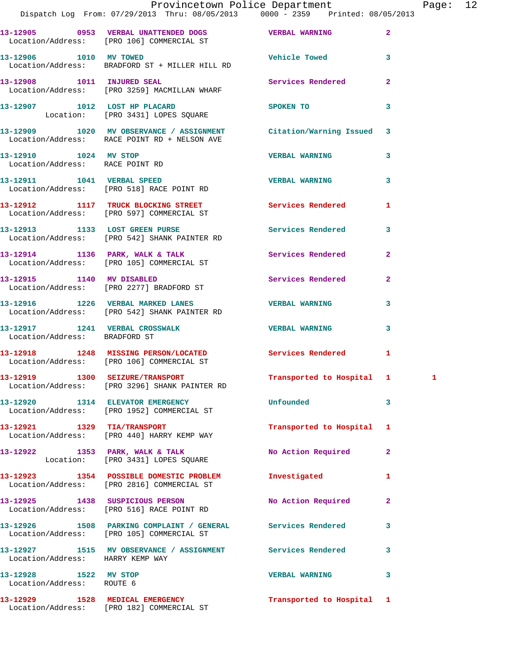|                                                          | Provincetown Police Department<br>Dispatch Log From: 07/29/2013 Thru: 08/05/2013 0000 - 2359 Printed: 08/05/2013   |                           |                | Page: 12 |  |
|----------------------------------------------------------|--------------------------------------------------------------------------------------------------------------------|---------------------------|----------------|----------|--|
|                                                          |                                                                                                                    |                           | $\overline{2}$ |          |  |
| 13-12906 1010 MV TOWED                                   | Location/Address: BRADFORD ST + MILLER HILL RD                                                                     | Vehicle Towed 3           |                |          |  |
|                                                          | 13-12908 1011 INJURED SEAL<br>Location/Address: [PRO 3259] MACMILLAN WHARF                                         | Services Rendered 2       |                |          |  |
|                                                          | 13-12907 1012 LOST HP PLACARD<br>Location: [PRO 3431] LOPES SQUARE                                                 | SPOKEN TO                 | 3              |          |  |
|                                                          | 13-12909 1020 MV OBSERVANCE / ASSIGNMENT Citation/Warning Issued 3<br>Location/Address: RACE POINT RD + NELSON AVE |                           |                |          |  |
| 13-12910 1024 MV STOP<br>Location/Address: RACE POINT RD |                                                                                                                    | <b>VERBAL WARNING</b>     | 3              |          |  |
|                                                          | 13-12911 1041 VERBAL SPEED<br>Location/Address: [PRO 518] RACE POINT RD                                            | <b>VERBAL WARNING</b> 3   |                |          |  |
|                                                          | 13-12912 1117 TRUCK BLOCKING STREET Services Rendered<br>Location/Address: [PRO 597] COMMERCIAL ST                 |                           | 1              |          |  |
|                                                          | 13-12913 1133 LOST GREEN PURSE 2008 Services Rendered 3<br>Location/Address: [PRO 542] SHANK PAINTER RD            |                           |                |          |  |
|                                                          | 13-12914 1136 PARK, WALK & TALK 112 Services Rendered<br>Location/Address: [PRO 105] COMMERCIAL ST                 |                           | $\mathbf{2}$   |          |  |
|                                                          | 13-12915 1140 MV DISABLED<br>Location/Address: [PRO 2277] BRADFORD ST                                              | Services Rendered 2       |                |          |  |
|                                                          |                                                                                                                    |                           | 3              |          |  |
| Location/Address: BRADFORD ST                            | 13-12917 1241 VERBAL CROSSWALK 13-12917 VERBAL WARNING                                                             |                           | 3              |          |  |
|                                                          | 13-12918 1248 MISSING PERSON/LOCATED Services Rendered 1<br>Location/Address: [PRO 106] COMMERCIAL ST              |                           |                |          |  |
|                                                          | 13-12919 1300 SEIZURE/TRANSPORT<br>Location/Address: [PRO 3296] SHANK PAINTER RD                                   | Transported to Hospital 1 |                |          |  |
|                                                          | 13-12920 1314 ELEVATOR EMERGENCY<br>Location/Address: [PRO 1952] COMMERCIAL ST                                     | <b>Unfounded</b>          | 3              |          |  |
|                                                          | 13-12921 1329 TIA/TRANSPORT<br>Location/Address: [PRO 440] HARRY KEMP WAY                                          | Transported to Hospital 1 |                |          |  |
|                                                          | 13-12922 1353 PARK, WALK & TALK<br>Location: [PRO 3431] LOPES SQUARE                                               | No Action Required        | $\mathbf{2}$   |          |  |
|                                                          | 13-12923 1354 POSSIBLE DOMESTIC PROBLEM<br>Location/Address: [PRO 2816] COMMERCIAL ST                              | Investigated              | 1              |          |  |
|                                                          | 13-12925 1438 SUSPICIOUS PERSON<br>Location/Address: [PRO 516] RACE POINT RD                                       | No Action Required        | $\mathbf{2}$   |          |  |
|                                                          | 13-12926 1508 PARKING COMPLAINT / GENERAL Services Rendered<br>Location/Address: [PRO 105] COMMERCIAL ST           |                           | $\mathbf{3}$   |          |  |
| Location/Address: HARRY KEMP WAY                         | 13-12927 1515 MV OBSERVANCE / ASSIGNMENT Services Rendered                                                         |                           | 3              |          |  |
| 13-12928 1522 MV STOP<br>Location/Address: ROUTE 6       |                                                                                                                    | <b>VERBAL WARNING</b>     | $\mathbf{3}$   |          |  |
|                                                          | 13-12929 1528 MEDICAL EMERGENCY<br>Location/Address: [PRO 182] COMMERCIAL ST                                       | Transported to Hospital 1 |                |          |  |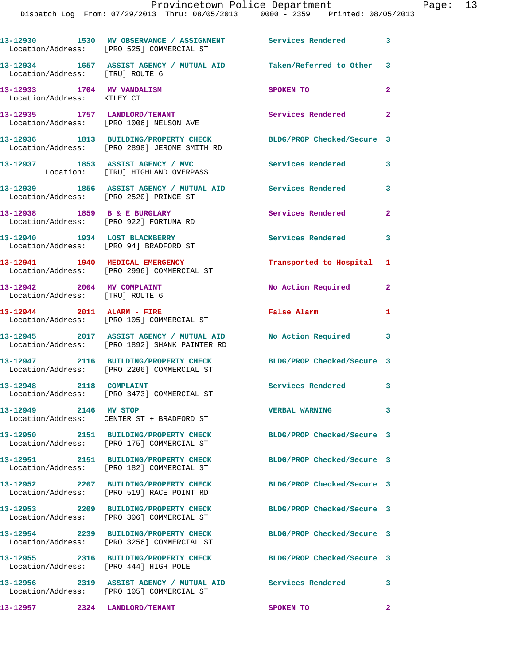|                                                                         | 13-12930 1530 MV OBSERVANCE / ASSIGNMENT Services Rendered 3<br>Location/Address: [PRO 525] COMMERCIAL ST        |                            |                            |
|-------------------------------------------------------------------------|------------------------------------------------------------------------------------------------------------------|----------------------------|----------------------------|
| Location/Address: [TRU] ROUTE 6                                         | 13-12934 1657 ASSIST AGENCY / MUTUAL AID Taken/Referred to Other 3                                               |                            |                            |
| 13-12933 1704 MV VANDALISM<br>Location/Address: KILEY CT                |                                                                                                                  | SPOKEN TO                  | $\mathbf{2}$               |
|                                                                         | 13-12935 1757 LANDLORD/TENANT<br>Location/Address: [PRO 1006] NELSON AVE                                         | Services Rendered          | $\overline{\phantom{a}}$ 2 |
|                                                                         | 13-12936 1813 BUILDING/PROPERTY CHECK BLDG/PROP Checked/Secure 3<br>Location/Address: [PRO 2898] JEROME SMITH RD |                            |                            |
|                                                                         | 13-12937 1853 ASSIST AGENCY / MVC<br>Location: [TRU] HIGHLAND OVERPASS                                           | Services Rendered          | 3                          |
| Location/Address: [PRO 2520] PRINCE ST                                  | 13-12939 1856 ASSIST AGENCY / MUTUAL AID Services Rendered 3                                                     |                            |                            |
| 13-12938 1859 B & E BURGLARY<br>Location/Address: [PRO 922] FORTUNA RD  |                                                                                                                  | Services Rendered          | $\mathbf{2}$               |
| 13-12940 1934 LOST BLACKBERRY<br>Location/Address: [PRO 94] BRADFORD ST |                                                                                                                  | Services Rendered 3        |                            |
|                                                                         | 13-12941 1940 MEDICAL EMERGENCY<br>Location/Address: [PRO 2996] COMMERCIAL ST                                    | Transported to Hospital 1  |                            |
| 13-12942 2004 MV COMPLAINT<br>Location/Address: [TRU] ROUTE 6           |                                                                                                                  | No Action Required 2       |                            |
|                                                                         | 13-12944 2011 ALARM - FIRE<br>Location/Address: [PRO 105] COMMERCIAL ST                                          | False Alarm                | $\mathbf{1}$               |
|                                                                         | 13-12945 2017 ASSIST AGENCY / MUTUAL AID<br>Location/Address: [PRO 1892] SHANK PAINTER RD                        | No Action Required 3       |                            |
|                                                                         | 13-12947 2116 BUILDING/PROPERTY CHECK<br>Location/Address: [PRO 2206] COMMERCIAL ST                              | BLDG/PROP Checked/Secure 3 |                            |
| 13-12948 2118 COMPLAINT                                                 | Location/Address: [PRO 3473] COMMERCIAL ST                                                                       | Services Rendered 3        |                            |
| 13-12949 2146 MV STOP                                                   | Location/Address: CENTER ST + BRADFORD ST                                                                        | <b>VERBAL WARNING</b>      | 3                          |
|                                                                         | 13-12950 2151 BUILDING/PROPERTY CHECK<br>Location/Address: [PRO 175] COMMERCIAL ST                               | BLDG/PROP Checked/Secure 3 |                            |
|                                                                         | 13-12951 2151 BUILDING/PROPERTY CHECK<br>Location/Address: [PRO 182] COMMERCIAL ST                               | BLDG/PROP Checked/Secure 3 |                            |
|                                                                         | 13-12952 2207 BUILDING/PROPERTY CHECK<br>Location/Address: [PRO 519] RACE POINT RD                               | BLDG/PROP Checked/Secure 3 |                            |
|                                                                         |                                                                                                                  | BLDG/PROP Checked/Secure 3 |                            |
|                                                                         | 13-12954 2239 BUILDING/PROPERTY CHECK<br>Location/Address: [PRO 3256] COMMERCIAL ST                              | BLDG/PROP Checked/Secure 3 |                            |
| Location/Address: [PRO 444] HIGH POLE                                   | 13-12955 2316 BUILDING/PROPERTY CHECK                                                                            | BLDG/PROP Checked/Secure 3 |                            |
|                                                                         | 13-12956 2319 ASSIST AGENCY / MUTUAL AID<br>Location/Address: [PRO 105] COMMERCIAL ST                            | Services Rendered          | $\overline{\mathbf{3}}$    |
| 13-12957 2324 LANDLORD/TENANT                                           |                                                                                                                  | SPOKEN TO                  | $\overline{\mathbf{2}}$    |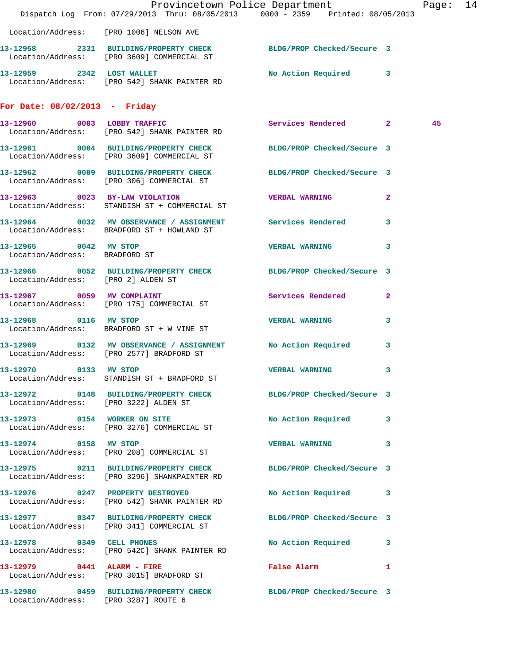|                                                        | Dispatch Log From: 07/29/2013 Thru: 08/05/2013 0000 - 2359 Printed: 08/05/2013                                   | Provincetown Police Department |              | Page: 14 |  |
|--------------------------------------------------------|------------------------------------------------------------------------------------------------------------------|--------------------------------|--------------|----------|--|
|                                                        | Location/Address: [PRO 1006] NELSON AVE                                                                          |                                |              |          |  |
|                                                        | 13-12958 2331 BUILDING/PROPERTY CHECK BLDG/PROP Checked/Secure 3<br>Location/Address: [PRO 3609] COMMERCIAL ST   |                                |              |          |  |
|                                                        | 13-12959 2342 LOST WALLET NO Action Required 3<br>Location/Address: [PRO 542] SHANK PAINTER RD                   |                                |              |          |  |
| For Date: $08/02/2013$ - Friday                        |                                                                                                                  |                                |              |          |  |
|                                                        | 13-12960 0003 LOBBY TRAFFIC<br>Location/Address: [PRO 542] SHANK PAINTER RD                                      | Services Rendered 2            |              | 45       |  |
|                                                        | 13-12961 0004 BUILDING/PROPERTY CHECK BLDG/PROP Checked/Secure 3<br>Location/Address: [PRO 3609] COMMERCIAL ST   |                                |              |          |  |
|                                                        | 13-12962 0009 BUILDING/PROPERTY CHECK BLDG/PROP Checked/Secure 3<br>Location/Address: [PRO 306] COMMERCIAL ST    |                                |              |          |  |
|                                                        | 13-12963 0023 BY-LAW VIOLATION<br>Location/Address: STANDISH ST + COMMERCIAL ST                                  | <b>VERBAL WARNING</b>          | $\mathbf{2}$ |          |  |
|                                                        | 13-12964 0032 MV OBSERVANCE / ASSIGNMENT Services Rendered 3<br>Location/Address: BRADFORD ST + HOWLAND ST       |                                |              |          |  |
| 13-12965 0042 MV STOP<br>Location/Address: BRADFORD ST |                                                                                                                  | VERBAL WARNING 3               |              |          |  |
| Location/Address: [PRO 2] ALDEN ST                     | 13-12966 0052 BUILDING/PROPERTY CHECK BLDG/PROP Checked/Secure 3                                                 |                                |              |          |  |
|                                                        | 13-12967 0059 MV COMPLAINT<br>Location/Address: [PRO 175] COMMERCIAL ST                                          | Services Rendered 2            |              |          |  |
| 13-12968 0116 MV STOP                                  | Location/Address: BRADFORD ST + W VINE ST                                                                        | <b>VERBAL WARNING 3</b>        |              |          |  |
|                                                        | 13-12969 0132 MV OBSERVANCE / ASSIGNMENT No Action Required 3<br>Location/Address: [PRO 2577] BRADFORD ST        |                                |              |          |  |
| 13-12970 0133 MV STOP                                  | Location/Address: STANDISH ST + BRADFORD ST                                                                      | VERBAL WARNING 3               |              |          |  |
|                                                        | 13-12972 0148 BUILDING/PROPERTY CHECK BLDG/PROP Checked/Secure 3<br>Location/Address: [PRO 3222] ALDEN ST        |                                |              |          |  |
|                                                        | 13-12973 0154 WORKER ON SITE<br>Location/Address: [PRO 3276] COMMERCIAL ST                                       | No Action Required 3           |              |          |  |
| 13-12974 0158 MV STOP                                  | Location/Address: [PRO 208] COMMERCIAL ST                                                                        | VERBAL WARNING 3               |              |          |  |
|                                                        | 13-12975 0211 BUILDING/PROPERTY CHECK BLDG/PROP Checked/Secure 3<br>Location/Address: [PRO 3296] SHANKPAINTER RD |                                |              |          |  |
|                                                        | 13-12976 0247 PROPERTY DESTROYED<br>Location/Address: [PRO 542] SHANK PAINTER RD                                 | No Action Required 3           |              |          |  |
|                                                        | 13-12977 0347 BUILDING/PROPERTY CHECK BLDG/PROP Checked/Secure 3<br>Location/Address: [PRO 341] COMMERCIAL ST    |                                |              |          |  |
|                                                        | 13-12978 0349 CELL PHONES<br>Location/Address: [PRO 542C] SHANK PAINTER RD                                       | No Action Required 3           |              |          |  |
|                                                        | 13-12979 0441 ALARM - FIRE<br>Location/Address: [PRO 3015] BRADFORD ST                                           | False Alarm 1                  |              |          |  |
| Location/Address: [PRO 3287] ROUTE 6                   | 13-12980 0459 BUILDING/PROPERTY CHECK BLDG/PROP Checked/Secure 3                                                 |                                |              |          |  |
|                                                        |                                                                                                                  |                                |              |          |  |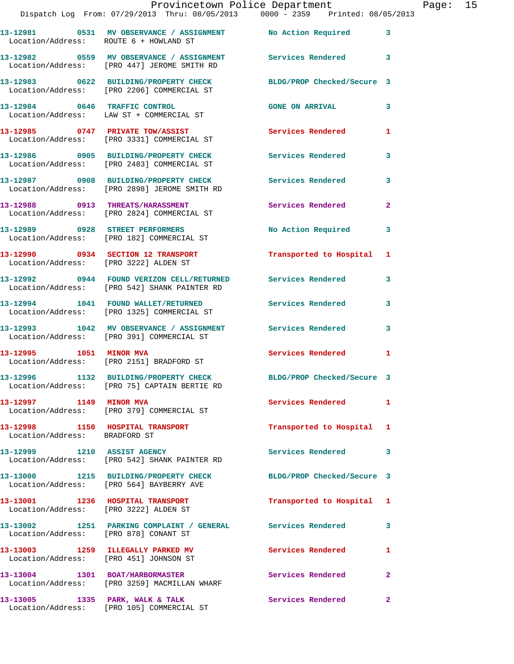|                                                                   | Provincetown Police Department<br>Dispatch Log From: 07/29/2013 Thru: 08/05/2013 0000 - 2359 Printed: 08/05/2013 |                            |                |
|-------------------------------------------------------------------|------------------------------------------------------------------------------------------------------------------|----------------------------|----------------|
|                                                                   | 13-12981 0531 MV OBSERVANCE / ASSIGNMENT No Action Required<br>Location/Address: ROUTE 6 + HOWLAND ST            |                            | 3              |
|                                                                   | 13-12982 0559 MV OBSERVANCE / ASSIGNMENT Services Rendered<br>Location/Address: [PRO 447] JEROME SMITH RD        |                            | 3              |
|                                                                   | 13-12983 0622 BUILDING/PROPERTY CHECK<br>Location/Address: [PRO 2206] COMMERCIAL ST                              | BLDG/PROP Checked/Secure 3 |                |
|                                                                   | 13-12984 0646 TRAFFIC CONTROL<br>Location/Address: LAW ST + COMMERCIAL ST                                        | <b>GONE ON ARRIVAL</b>     | 3              |
|                                                                   | 13-12985 0747 PRIVATE TOW/ASSIST<br>Location/Address: [PRO 3331] COMMERCIAL ST                                   | <b>Services Rendered</b>   | 1              |
|                                                                   | 13-12986 0905 BUILDING/PROPERTY CHECK<br>Location/Address: [PRO 2483] COMMERCIAL ST                              | <b>Services Rendered</b>   | 3              |
|                                                                   | 13-12987 0908 BUILDING/PROPERTY CHECK<br>Location/Address: [PRO 2898] JEROME SMITH RD                            | Services Rendered          | 3              |
|                                                                   | 13-12988 0913 THREATS/HARASSMENT<br>Location/Address: [PRO 2824] COMMERCIAL ST                                   | <b>Services Rendered</b>   | $\overline{a}$ |
|                                                                   | 13-12989 0928 STREET PERFORMERS<br>Location/Address: [PRO 182] COMMERCIAL ST                                     | <b>No Action Required</b>  | 3              |
| Location/Address: [PRO 3222] ALDEN ST                             | 13-12990 0934 SECTION 12 TRANSPORT                                                                               | Transported to Hospital    | 1              |
|                                                                   | 13-12992 0944 FOUND VERIZON CELL/RETURNED Services Rendered<br>Location/Address: [PRO 542] SHANK PAINTER RD      |                            | 3              |
|                                                                   | 13-12994 1041 FOUND WALLET/RETURNED<br>Location/Address: [PRO 1325] COMMERCIAL ST                                | Services Rendered          | 3              |
|                                                                   | 13-12993 1042 MV OBSERVANCE / ASSIGNMENT Services Rendered<br>Location/Address: [PRO 391] COMMERCIAL ST          |                            | 3              |
|                                                                   | 13-12995 1051 MINOR MVA<br>Location/Address: [PRO 2151] BRADFORD ST                                              | <b>Services Rendered</b>   | 1              |
| 13-12996                                                          | 1132 BUILDING/PROPERTY CHECK<br>Location/Address: [PRO 75] CAPTAIN BERTIE RD                                     | BLDG/PROP Checked/Secure 3 |                |
| 13-12997 1149 MINOR MVA                                           | Location/Address: [PRO 379] COMMERCIAL ST                                                                        | Services Rendered          | 1              |
| 13-12998 1150 HOSPITAL TRANSPORT<br>Location/Address: BRADFORD ST |                                                                                                                  | Transported to Hospital    | 1              |
|                                                                   | 13-12999 1210 ASSIST AGENCY<br>Location/Address: [PRO 542] SHANK PAINTER RD                                      | Services Rendered          | 3              |
|                                                                   | 13-13000 1215 BUILDING/PROPERTY CHECK<br>Location/Address: [PRO 564] BAYBERRY AVE                                | BLDG/PROP Checked/Secure 3 |                |
| Location/Address: [PRO 3222] ALDEN ST                             | 13-13001 1236 HOSPITAL TRANSPORT                                                                                 | Transported to Hospital    | 1              |
| Location/Address: [PRO 878] CONANT ST                             | 13-13002 1251 PARKING COMPLAINT / GENERAL Services Rendered                                                      |                            | 3              |
| Location/Address: [PRO 451] JOHNSON ST                            | 13-13003 1259 ILLEGALLY PARKED MV                                                                                | Services Rendered          | 1              |
|                                                                   | 13-13004 1301 BOAT/HARBORMASTER<br>Location/Address: [PRO 3259] MACMILLAN WHARF                                  | Services Rendered          | $\overline{a}$ |
|                                                                   |                                                                                                                  |                            |                |

**13-13005 1335 PARK, WALK & TALK Services Rendered 2** 

Location/Address: [PRO 105] COMMERCIAL ST

Page: 15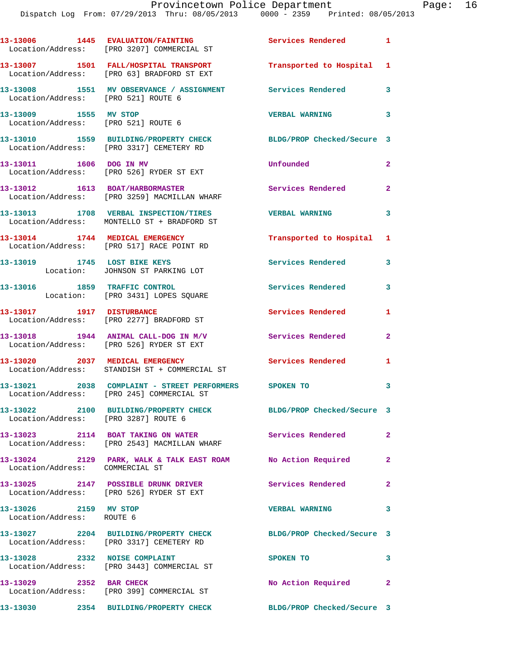|                                                    | 13-13006 1445 EVALUATION/FAINTING<br>Location/Address: [PRO 3207] COMMERCIAL ST                    | Services Rendered 1        |                |
|----------------------------------------------------|----------------------------------------------------------------------------------------------------|----------------------------|----------------|
|                                                    | 13-13007 1501 FALL/HOSPITAL TRANSPORT<br>Location/Address: [PRO 63] BRADFORD ST EXT                | Transported to Hospital 1  |                |
| Location/Address: [PRO 521] ROUTE 6                | 13-13008 1551 MV OBSERVANCE / ASSIGNMENT Services Rendered                                         |                            | 3              |
| 13-13009 1555 MV STOP                              | Location/Address: [PRO 521] ROUTE 6                                                                | <b>VERBAL WARNING</b>      | 3              |
|                                                    | 13-13010 1559 BUILDING/PROPERTY CHECK<br>Location/Address: [PRO 3317] CEMETERY RD                  | BLDG/PROP Checked/Secure 3 |                |
|                                                    | 13-13011 1606 DOG IN MV<br>Location/Address: [PRO 526] RYDER ST EXT                                | Unfounded                  | $\mathbf{2}$   |
|                                                    | 13-13012 1613 BOAT/HARBORMASTER<br>Location/Address: [PRO 3259] MACMILLAN WHARF                    | Services Rendered 2        |                |
|                                                    | 13-13013 1708 VERBAL INSPECTION/TIRES<br>Location/Address: MONTELLO ST + BRADFORD ST               | <b>VERBAL WARNING</b>      | 3              |
|                                                    | 13-13014 1744 MEDICAL EMERGENCY<br>Location/Address: [PRO 517] RACE POINT RD                       | Transported to Hospital 1  |                |
|                                                    | 13-13019 1745 LOST BIKE KEYS<br>Location: JOHNSON ST PARKING LOT                                   | <b>Services Rendered</b>   | 3              |
| 13-13016 1859 TRAFFIC CONTROL                      | Location: [PRO 3431] LOPES SQUARE                                                                  | Services Rendered          | 3              |
|                                                    | 13-13017 1917 DISTURBANCE<br>Location/Address: [PRO 2277] BRADFORD ST                              | Services Rendered          | 1              |
|                                                    | $13-13018$ 1944 ANIMAL CALL-DOG IN M/V<br>Location/Address: [PRO 526] RYDER ST EXT                 | Services Rendered          | $\overline{2}$ |
|                                                    | 13-13020 2037 MEDICAL EMERGENCY<br>Location/Address: STANDISH ST + COMMERCIAL ST                   | <b>Services Rendered</b> 1 |                |
|                                                    | 13-13021 2038 COMPLAINT - STREET PERFORMERS SPOKEN TO<br>Location/Address: [PRO 245] COMMERCIAL ST |                            | 3              |
| Location/Address: [PRO 3287] ROUTE 6               | 13-13022 2100 BUILDING/PROPERTY CHECK                                                              | BLDG/PROP Checked/Secure 3 |                |
|                                                    | 13-13023 2114 BOAT TAKING ON WATER<br>Location/Address: [PRO 2543] MACMILLAN WHARF                 | <b>Services Rendered</b> 2 |                |
| Location/Address: COMMERCIAL ST                    | 13-13024 2129 PARK, WALK & TALK EAST ROAM No Action Required                                       |                            | $\mathbf{2}$   |
|                                                    | 13-13025 2147 POSSIBLE DRUNK DRIVER Services Rendered<br>Location/Address: [PRO 526] RYDER ST EXT  |                            | $\overline{2}$ |
| 13-13026 2159 MV STOP<br>Location/Address: ROUTE 6 |                                                                                                    | <b>VERBAL WARNING</b>      | 3              |
|                                                    | 13-13027 2204 BUILDING/PROPERTY CHECK<br>Location/Address: [PRO 3317] CEMETERY RD                  | BLDG/PROP Checked/Secure 3 |                |
|                                                    | 13-13028 2332 NOISE COMPLAINT<br>Location/Address: [PRO 3443] COMMERCIAL ST                        | SPOKEN TO                  | 3              |
| 13-13029 2352 BAR CHECK                            | Location/Address: [PRO 399] COMMERCIAL ST                                                          | No Action Required 2       |                |
|                                                    | 13-13030 2354 BUILDING/PROPERTY CHECK                                                              | BLDG/PROP Checked/Secure 3 |                |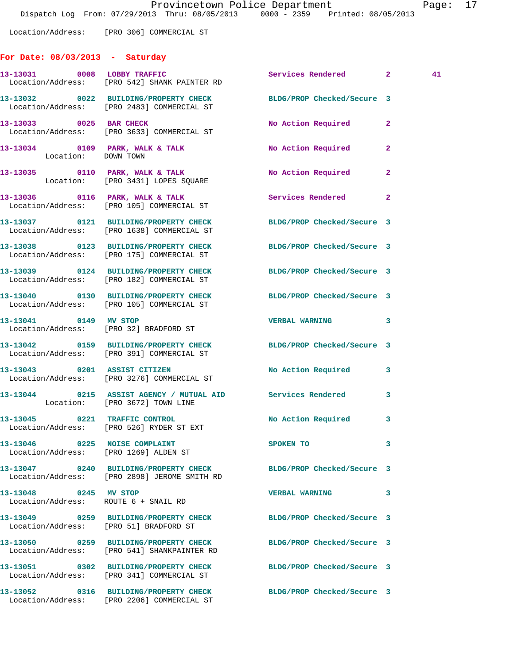Location/Address: [PRO 306] COMMERCIAL ST

### **For Date: 08/03/2013 - Saturday**

|                       | 13-13031 0008 LOBBY TRAFFIC<br>Location/Address: [PRO 542] SHANK PAINTER RD                                    | Services Rendered 2        |                | 41 |
|-----------------------|----------------------------------------------------------------------------------------------------------------|----------------------------|----------------|----|
|                       | 13-13032 0022 BUILDING/PROPERTY CHECK BLDG/PROP Checked/Secure 3<br>Location/Address: [PRO 2483] COMMERCIAL ST |                            |                |    |
|                       | 13-13033 0025 BAR CHECK<br>Location/Address: [PRO 3633] COMMERCIAL ST                                          | No Action Required         | $\mathbf{2}$   |    |
| Location: DOWN TOWN   | 13-13034 0109 PARK, WALK & TALK                                                                                | No Action Required         | $\overline{2}$ |    |
|                       | 13-13035 0110 PARK, WALK & TALK<br>Location: [PRO 3431] LOPES SQUARE                                           | No Action Required         | $\mathbf{2}$   |    |
|                       | 13-13036 0116 PARK, WALK & TALK<br>Location/Address: [PRO 105] COMMERCIAL ST                                   | Services Rendered          | $\mathbf{2}$   |    |
|                       | 13-13037 0121 BUILDING/PROPERTY CHECK<br>Location/Address: [PRO 1638] COMMERCIAL ST                            | BLDG/PROP Checked/Secure 3 |                |    |
|                       | 13-13038 0123 BUILDING/PROPERTY CHECK<br>Location/Address: [PRO 175] COMMERCIAL ST                             | BLDG/PROP Checked/Secure 3 |                |    |
|                       | 13-13039 0124 BUILDING/PROPERTY CHECK<br>Location/Address: [PRO 182] COMMERCIAL ST                             | BLDG/PROP Checked/Secure 3 |                |    |
|                       | 13-13040 0130 BUILDING/PROPERTY CHECK<br>Location/Address: [PRO 105] COMMERCIAL ST                             | BLDG/PROP Checked/Secure 3 |                |    |
| 13-13041 0149 MV STOP | Location/Address: [PRO 32] BRADFORD ST                                                                         | <b>VERBAL WARNING</b>      | 3              |    |
|                       | 13-13042 0159 BUILDING/PROPERTY CHECK BLDG/PROP Checked/Secure 3<br>Location/Address: [PRO 391] COMMERCIAL ST  |                            |                |    |
|                       | 13-13043 0201 ASSIST CITIZEN<br>Location/Address: [PRO 3276] COMMERCIAL ST                                     | No Action Required         | 3              |    |
|                       | 13-13044 0215 ASSIST AGENCY / MUTUAL AID Services Rendered<br>Location: [PRO 3672] TOWN LINE                   |                            | 3              |    |
|                       | 13-13045 0221 TRAFFIC CONTROL<br>Location/Address: [PRO 526] RYDER ST EXT                                      | No Action Required 3       |                |    |
| 13-13046<br>0225      | <b>NOISE COMPLAINT</b><br>Location/Address: [PRO 1269] ALDEN ST                                                | SPOKEN TO                  | 3              |    |
|                       | 13-13047 0240 BUILDING/PROPERTY CHECK<br>Location/Address: [PRO 2898] JEROME SMITH RD                          | BLDG/PROP Checked/Secure 3 |                |    |
| 13-13048 0245 MV STOP | Location/Address: ROUTE 6 + SNAIL RD                                                                           | <b>VERBAL WARNING</b>      | 3              |    |
|                       | 13-13049  0259 BUILDING/PROPERTY CHECK<br>Location/Address: [PRO 51] BRADFORD ST                               | BLDG/PROP Checked/Secure 3 |                |    |
|                       | 13-13050 0259 BUILDING/PROPERTY CHECK<br>Location/Address: [PRO 541] SHANKPAINTER RD                           | BLDG/PROP Checked/Secure 3 |                |    |
|                       | 13-13051 0302 BUILDING/PROPERTY CHECK<br>Location/Address: [PRO 341] COMMERCIAL ST                             | BLDG/PROP Checked/Secure 3 |                |    |
|                       | 13-13052 0316 BUILDING/PROPERTY CHECK<br>Location/Address: [PRO 2206] COMMERCIAL ST                            | BLDG/PROP Checked/Secure 3 |                |    |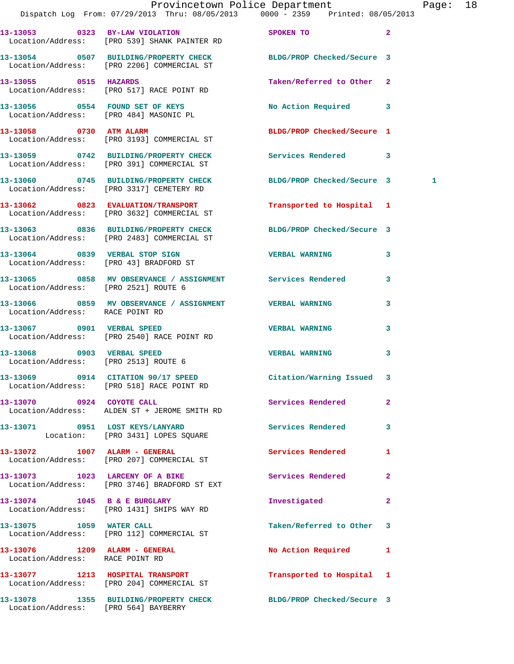|                                      | Provincetown Police Department<br>Dispatch Log From: 07/29/2013 Thru: 08/05/2013 0000 - 2359 Printed: 08/05/2013  |                            |              | Page: 18 |  |
|--------------------------------------|-------------------------------------------------------------------------------------------------------------------|----------------------------|--------------|----------|--|
|                                      | 13-13053 0323 BY-LAW VIOLATION SPOKEN TO<br>Location/Address: [PRO 539] SHANK PAINTER RD                          | $\sim$ 2                   |              |          |  |
|                                      | 13-13054 0507 BUILDING/PROPERTY CHECK BLDG/PROP Checked/Secure 3<br>Location/Address: [PRO 2206] COMMERCIAL ST    |                            |              |          |  |
|                                      | 13-13055 0515 HAZARDS<br>Location/Address: [PRO 517] RACE POINT RD                                                | Taken/Referred to Other 2  |              |          |  |
|                                      |                                                                                                                   | No Action Required 3       |              |          |  |
|                                      | 13-13058 0730 ATM ALARM<br>Location/Address: [PRO 3193] COMMERCIAL ST                                             | BLDG/PROP Checked/Secure 1 |              |          |  |
|                                      | 13-13059 0742 BUILDING/PROPERTY CHECK Services Rendered 3<br>Location/Address: [PRO 391] COMMERCIAL ST            |                            |              |          |  |
|                                      | 13-13060 0745 BUILDING/PROPERTY CHECK BLDG/PROP Checked/Secure 3<br>Location/Address: [PRO 3317] CEMETERY RD      |                            |              | 1        |  |
|                                      | 13-13062 0823 EVALUATION/TRANSPORT<br>Location/Address: [PRO 3632] COMMERCIAL ST                                  | Transported to Hospital 1  |              |          |  |
|                                      | 13-13063 0836 BUILDING/PROPERTY CHECK BLDG/PROP Checked/Secure 3<br>Location/Address: [PRO 2483] COMMERCIAL ST    |                            |              |          |  |
|                                      | 13-13064 0839 VERBAL STOP SIGN<br>Location/Address: [PRO 43] BRADFORD ST                                          | <b>VERBAL WARNING 3</b>    |              |          |  |
|                                      | 13-13065     0858   MV OBSERVANCE / ASSIGNMENT       Services Rendered<br>Location/Address:    [PRO 2521] ROUTE 6 |                            | $\mathbf{3}$ |          |  |
| Location/Address: RACE POINT RD      | 13-13066 6 0859 MV OBSERVANCE / ASSIGNMENT CONTRESSED WARNING                                                     |                            | 3            |          |  |
|                                      | 13-13067 0901 VERBAL SPEED<br>Location/Address: [PRO 2540] RACE POINT RD                                          | <b>VERBAL WARNING</b>      | 3            |          |  |
| Location/Address: [PRO 2513] ROUTE 6 | 13-13068 0903 VERBAL SPEED                                                                                        | <b>VERBAL WARNING</b>      | 3            |          |  |
|                                      | 13-13069 0914 CITATION 90/17 SPEED<br>Location/Address: [PRO 518] RACE POINT RD                                   | Citation/Warning Issued 3  |              |          |  |
| 13-13070 0924 COYOTE CALL            | Location/Address: ALDEN ST + JEROME SMITH RD                                                                      | Services Rendered 2        |              |          |  |
|                                      | 13-13071 0951 LOST KEYS/LANYARD<br>Location: [PRO 3431] LOPES SQUARE                                              | <b>Services Rendered</b>   | 3            |          |  |
|                                      | 13-13072    1007    ALARM - GENERAL<br>Location/Address: [PRO 207] COMMERCIAL ST                                  | <b>Services Rendered</b> 1 |              |          |  |
|                                      | 13-13073 1023 LARCENY OF A BIKE<br>Location/Address: [PRO 3746] BRADFORD ST EXT                                   | Services Rendered          | $\mathbf{2}$ |          |  |
|                                      | 13-13074 1045 B & E BURGLARY<br>Location/Address: [PRO 1431] SHIPS WAY RD                                         | Investigated               | $\mathbf{2}$ |          |  |
|                                      | 13-13075 1059 WATER CALL<br>Location/Address: [PRO 112] COMMERCIAL ST                                             | Taken/Referred to Other 3  |              |          |  |
| Location/Address: RACE POINT RD      |                                                                                                                   | No Action Required 1       |              |          |  |
|                                      | 13-13077 1213 HOSPITAL TRANSPORT<br>Location/Address: [PRO 204] COMMERCIAL ST                                     | Transported to Hospital 1  |              |          |  |
| Location/Address: [PRO 564] BAYBERRY | 13-13078 1355 BUILDING/PROPERTY CHECK BLDG/PROP Checked/Secure 3                                                  |                            |              |          |  |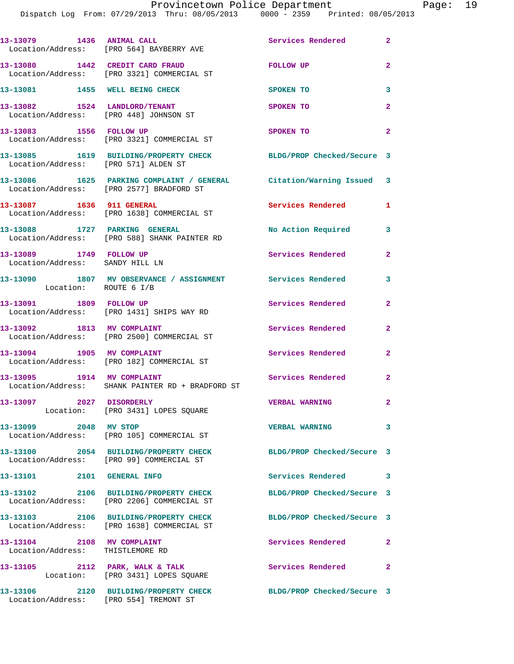|                                                                         | 13-13079 1436 ANIMAL CALL<br>Location/Address: [PRO 564] BAYBERRY AVE                                           | Services Rendered 2        |                            |
|-------------------------------------------------------------------------|-----------------------------------------------------------------------------------------------------------------|----------------------------|----------------------------|
|                                                                         | 13-13080 1442 CREDIT CARD FRAUD<br>Location/Address: [PRO 3321] COMMERCIAL ST                                   | <b>FOLLOW UP</b>           | $\mathbf{2}$               |
| 13-13081 1455 WELL BEING CHECK                                          |                                                                                                                 | SPOKEN TO                  | 3                          |
| 13-13082 1524 LANDLORD/TENANT<br>Location/Address: [PRO 448] JOHNSON ST |                                                                                                                 | SPOKEN TO                  | $\mathbf{2}$               |
| 13-13083 1556 FOLLOW UP                                                 | Location/Address: [PRO 3321] COMMERCIAL ST                                                                      | SPOKEN TO                  | $\overline{2}$             |
| Location/Address: [PRO 571] ALDEN ST                                    | 13-13085 1619 BUILDING/PROPERTY CHECK BLDG/PROP Checked/Secure 3                                                |                            |                            |
|                                                                         | 13-13086 1625 PARKING COMPLAINT / GENERAL Citation/Warning Issued 3<br>Location/Address: [PRO 2577] BRADFORD ST |                            |                            |
|                                                                         | 13-13087 1636 911 GENERAL<br>Location/Address: [PRO 1638] COMMERCIAL ST                                         | Services Rendered          | 1                          |
| 13-13088 1727 PARKING GENERAL                                           | Location/Address: [PRO 588] SHANK PAINTER RD                                                                    | No Action Required 3       |                            |
| 13-13089 1749 FOLLOW UP<br>Location/Address: SANDY HILL LN              |                                                                                                                 | <b>Services Rendered</b>   | $\mathbf{2}$               |
| Location: ROUTE 6 I/B                                                   | 13-13090 1807 MV OBSERVANCE / ASSIGNMENT Services Rendered 3                                                    |                            |                            |
| 13-13091 1809 FOLLOW UP                                                 | Location/Address: [PRO 1431] SHIPS WAY RD                                                                       | Services Rendered          | $\mathbf{2}$               |
| 13-13092 1813 MV COMPLAINT                                              | Location/Address: [PRO 2500] COMMERCIAL ST                                                                      | Services Rendered          | $\mathbf{2}$               |
|                                                                         | 13-13094 1905 MV COMPLAINT<br>Location/Address: [PRO 182] COMMERCIAL ST                                         | Services Rendered          | $\mathbf{2}$               |
| 13-13095 1914 MV COMPLAINT                                              | Location/Address: SHANK PAINTER RD + BRADFORD ST                                                                | Services Rendered          | $\overline{\phantom{0}}$ 2 |
| 13-13097 2027 DISORDERLY                                                | Location: [PRO 3431] LOPES SQUARE                                                                               | <b>VERBAL WARNING</b>      | $\mathbf{2}$               |
| 13-13099 2048 MV STOP                                                   | Location/Address: [PRO 105] COMMERCIAL ST                                                                       | <b>VERBAL WARNING</b>      | $\overline{\mathbf{3}}$    |
|                                                                         | 13-13100 2054 BUILDING/PROPERTY CHECK<br>Location/Address: [PRO 99] COMMERCIAL ST                               | BLDG/PROP Checked/Secure 3 |                            |
| 13-13101 2101 GENERAL INFO                                              |                                                                                                                 | Services Rendered 3        |                            |
|                                                                         | 13-13102 2106 BUILDING/PROPERTY CHECK<br>Location/Address: [PRO 2206] COMMERCIAL ST                             | BLDG/PROP Checked/Secure 3 |                            |
|                                                                         | 13-13103 2106 BUILDING/PROPERTY CHECK<br>Location/Address: [PRO 1638] COMMERCIAL ST                             | BLDG/PROP Checked/Secure 3 |                            |
| 13-13104 2108 MV COMPLAINT<br>Location/Address: THISTLEMORE RD          |                                                                                                                 | Services Rendered          | $\mathbf{2}$               |
|                                                                         | 13-13105 2112 PARK, WALK & TALK<br>Location: [PRO 3431] LOPES SQUARE                                            | Services Rendered 2        |                            |
| Location/Address: [PRO 554] TREMONT ST                                  | 13-13106 2120 BUILDING/PROPERTY CHECK                                                                           | BLDG/PROP Checked/Secure 3 |                            |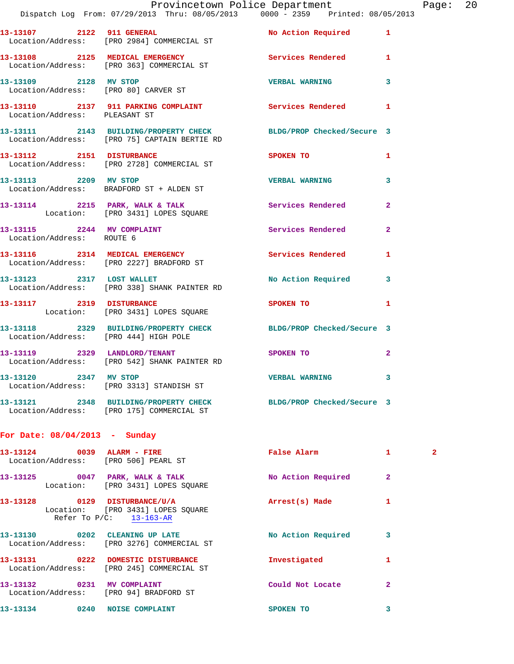|                               | Provincetown Police Department                                                                                   |                       |                | Page: 20 |  |
|-------------------------------|------------------------------------------------------------------------------------------------------------------|-----------------------|----------------|----------|--|
|                               | Dispatch Log From: 07/29/2013 Thru: 08/05/2013 0000 - 2359 Printed: 08/05/2013                                   |                       |                |          |  |
|                               |                                                                                                                  |                       |                |          |  |
|                               | 13-13108 2125 MEDICAL EMERGENCY Services Rendered 1<br>Location/Address: [PRO 363] COMMERCIAL ST                 |                       |                |          |  |
|                               | 13-13109 2128 MV STOP<br>Location/Address: [PRO 80] CARVER ST                                                    | VERBAL WARNING 3      |                |          |  |
| Location/Address: PLEASANT ST | 13-13110 2137 911 PARKING COMPLAINT Services Rendered 1                                                          |                       |                |          |  |
|                               | 13-13111 2143 BUILDING/PROPERTY CHECK BLDG/PROP Checked/Secure 3<br>Location/Address: [PRO 75] CAPTAIN BERTIE RD |                       |                |          |  |
|                               | 13-13112 2151 DISTURBANCE<br>Location/Address: [PRO 2728] COMMERCIAL ST                                          | SPOKEN TO             | $\mathbf{1}$   |          |  |
|                               | 13-13113 2209 MV STOP<br>Location/Address: BRADFORD ST + ALDEN ST                                                | <b>VERBAL WARNING</b> | $\mathbf{3}$   |          |  |
|                               | 13-13114 2215 PARK, WALK & TALK<br>Location: [PRO 3431] LOPES SQUARE                                             | Services Rendered     | $\overline{2}$ |          |  |
| Location/Address: ROUTE 6     | 13-13115 2244 MV COMPLAINT                                                                                       | Services Rendered 2   |                |          |  |
|                               | 13-13116 2314 MEDICAL EMERGENCY<br>Location/Address: [PRO 2227] BRADFORD ST                                      | Services Rendered 1   |                |          |  |
|                               | 13-13123 2317 LOST WALLET<br>Location/Address: [PRO 338] SHANK PAINTER RD                                        | No Action Required 3  |                |          |  |
|                               | 13-13117 2319 DISTURBANCE<br>Location: [PRO 3431] LOPES SQUARE                                                   | <b>SPOKEN TO</b>      | $\mathbf{1}$   |          |  |
|                               | 13-13118 2329 BUILDING/PROPERTY CHECK BLDG/PROP Checked/Secure 3<br>Location/Address: [PRO 444] HIGH POLE        |                       |                |          |  |
|                               | 13-13119 2329 LANDLORD/TENANT<br>Location/Address: [PRO 542] SHANK PAINTER RD                                    | SPOKEN TO             | $\mathbf{2}$   |          |  |
|                               | 13-13120 2347 MV STOP<br>Location/Address: [PRO 3313] STANDISH ST                                                | VERBAL WARNING 3      |                |          |  |
|                               | 13-13121 2348 BUILDING/PROPERTY CHECK BLDG/PROP Checked/Secure 3<br>Location/Address: [PRO 175] COMMERCIAL ST    |                       |                |          |  |

# **For Date: 08/04/2013 - Sunday**

| 13-13124         | 0039<br>ALARM - FIRE<br>Location/Address: [PRO 506] PEARL ST                                      | False Alarm        | 1            | $\mathbf{2}$ |
|------------------|---------------------------------------------------------------------------------------------------|--------------------|--------------|--------------|
| 13-13125         | 0047 PARK, WALK & TALK<br>Location: [PRO 3431] LOPES SOUARE                                       | No Action Required | $\mathbf{2}$ |              |
| 13-13128         | 0129<br><b>DISTURBANCE/U/A</b><br>Location: [PRO 3431] LOPES SOUARE<br>Refer To $P/C$ : 13-163-AR | Arrest(s) Made     | 1            |              |
| 13-13130         | 0202<br>CLEANING UP LATE<br>Location/Address: [PRO 3276] COMMERCIAL ST                            | No Action Required | 3            |              |
| 0222<br>13-13131 | DOMESTIC DISTURBANCE<br>Location/Address: [PRO 245] COMMERCIAL ST                                 | Investigated       | 1            |              |
| 13-13132         | 0231<br>MV COMPLAINT<br>Location/Address: [PRO 94] BRADFORD ST                                    | Could Not Locate   | $\mathbf{2}$ |              |
| 13-13134         | 0240<br><b>NOISE COMPLAINT</b>                                                                    | <b>SPOKEN TO</b>   | 3            |              |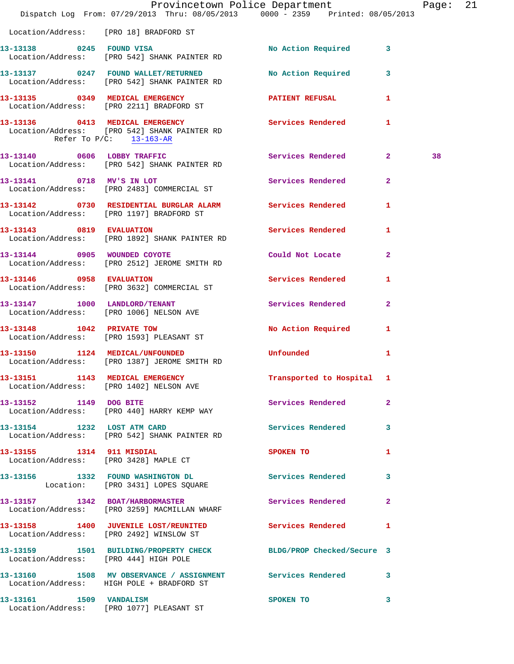|                                        | Dispatch Log From: 07/29/2013 Thru: 08/05/2013 0000 - 2359 Printed: 08/05/2013                            | Provincetown Police Department Page: 21 |                |    |  |
|----------------------------------------|-----------------------------------------------------------------------------------------------------------|-----------------------------------------|----------------|----|--|
| Location/Address: [PRO 18] BRADFORD ST |                                                                                                           |                                         |                |    |  |
|                                        | 13-13138 0245 FOUND VISA<br>Location/Address: [PRO 542] SHANK PAINTER RD                                  | No Action Required 3                    |                |    |  |
|                                        | 13-13137 0247 FOUND WALLET/RETURNED No Action Required 3<br>Location/Address: [PRO 542] SHANK PAINTER RD  |                                         |                |    |  |
|                                        | 13-13135 0349 MEDICAL EMERGENCY PATIENT REFUSAL 1<br>Location/Address: [PRO 2211] BRADFORD ST             |                                         |                |    |  |
| Refer To $P/C$ : 13-163-AR             | 13-13136 0413 MEDICAL EMERGENCY Services Rendered 1<br>Location/Address: [PRO 542] SHANK PAINTER RD       |                                         |                |    |  |
|                                        | 13-13140 0606 LOBBY TRAFFIC<br>Location/Address: [PRO 542] SHANK PAINTER RD                               | Services Rendered 2                     |                | 38 |  |
|                                        | 13-13141 0718 MV'S IN LOT<br>Location/Address: [PRO 2483] COMMERCIAL ST                                   | Services Rendered                       | $\overline{2}$ |    |  |
|                                        | 13-13142 0730 RESIDENTIAL BURGLAR ALARM Services Rendered<br>Location/Address: [PRO 1197] BRADFORD ST     |                                         | 1              |    |  |
|                                        | 13-13143 0819 EVALUATION<br>Location/Address: [PRO 1892] SHANK PAINTER RD                                 | Services Rendered 1                     |                |    |  |
|                                        | 13-13144 0905 WOUNDED COYOTE<br>Location/Address: [PRO 2512] JEROME SMITH RD                              | Could Not Locate                        | $\mathbf{2}$   |    |  |
| 13-13146 0958 EVALUATION               | Location/Address: [PRO 3632] COMMERCIAL ST                                                                | Services Rendered 1                     |                |    |  |
|                                        | 13-13147 1000 LANDLORD/TENANT Services Rendered<br>Location/Address: [PRO 1006] NELSON AVE                |                                         | $\mathbf{2}$   |    |  |
|                                        | 13-13148 1042 PRIVATE TOW<br>Location/Address: [PRO 1593] PLEASANT ST                                     | No Action Required 1                    |                |    |  |
|                                        | 13-13150 1124 MEDICAL/UNFOUNDED<br>Location/Address: [PRO 1387] JEROME SMITH RD                           | <b>Unfounded United</b>                 | 1              |    |  |
|                                        | 13-13151 1143 MEDICAL EMERGENCY<br>Location/Address: [PRO 1402] NELSON AVE                                | Transported to Hospital 1               |                |    |  |
| 13-13152 1149 DOG BITE                 | Location/Address: [PRO 440] HARRY KEMP WAY                                                                | Services Rendered                       | $\mathbf{2}$   |    |  |
|                                        | 13-13154 1232 LOST ATM CARD<br>Location/Address: [PRO 542] SHANK PAINTER RD                               | Services Rendered 3                     |                |    |  |
| 13-13155 1314 911 MISDIAL              | Location/Address: [PRO 3428] MAPLE CT                                                                     | SPOKEN TO                               | 1              |    |  |
|                                        | 13-13156 1332 FOUND WASHINGTON DL<br>Location: [PRO 3431] LOPES SQUARE                                    | Services Rendered 3                     |                |    |  |
|                                        | 13-13157 1342 BOAT/HARBORMASTER<br>Location/Address: [PRO 3259] MACMILLAN WHARF                           | Services Rendered                       | $\mathbf{2}$   |    |  |
|                                        | 13-13158 1400 JUVENILE LOST/REUNITED Services Rendered 1<br>Location/Address: [PRO 2492] WINSLOW ST       |                                         |                |    |  |
| Location/Address: [PRO 444] HIGH POLE  | 13-13159 1501 BUILDING/PROPERTY CHECK BLDG/PROP Checked/Secure 3                                          |                                         |                |    |  |
|                                        | 13-13160 1508 MV OBSERVANCE / ASSIGNMENT Services Rendered 3<br>Location/Address: HIGH POLE + BRADFORD ST |                                         |                |    |  |
|                                        | 13-13161 1509 VANDALISM<br>Location/Address: [PRO 1077] PLEASANT ST                                       | SPOKEN TO                               | 3              |    |  |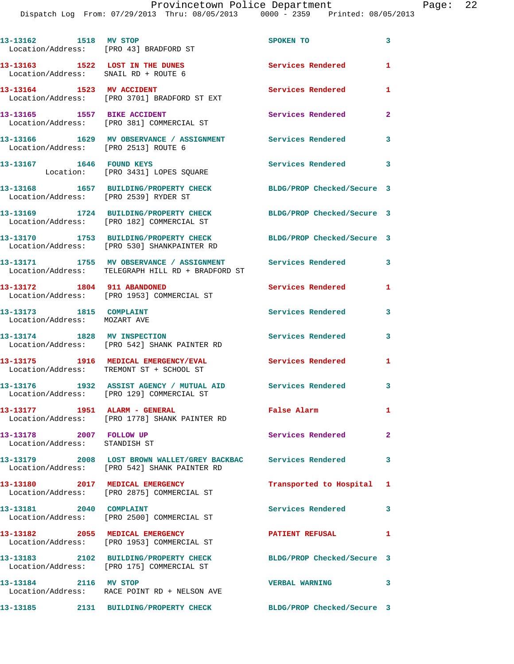| 13-13162 1518 MV STOP<br>Location/Address: [PRO 43] BRADFORD ST         |                                                                                                                                        | SPOKEN TO                  | $\mathbf{3}$   |
|-------------------------------------------------------------------------|----------------------------------------------------------------------------------------------------------------------------------------|----------------------------|----------------|
| 13-13163 1522 LOST IN THE DUNES<br>Location/Address: SNAIL RD + ROUTE 6 |                                                                                                                                        | Services Rendered          | $\mathbf{1}$   |
| 13-13164 1523 MV ACCIDENT                                               | Location/Address: [PRO 3701] BRADFORD ST EXT                                                                                           | Services Rendered          | $\mathbf{1}$   |
| 13-13165 1557 BIKE ACCIDENT                                             | Location/Address: [PRO 381] COMMERCIAL ST                                                                                              | <b>Services Rendered</b>   | $\overline{2}$ |
| Location/Address: [PRO 2513] ROUTE 6                                    | 13-13166 1629 MV OBSERVANCE / ASSIGNMENT Services Rendered                                                                             |                            | 3              |
| 13-13167 1646 FOUND KEYS                                                | Location: [PRO 3431] LOPES SQUARE                                                                                                      | Services Rendered          | 3              |
| Location/Address: [PRO 2539] RYDER ST                                   | 13-13168 1657 BUILDING/PROPERTY CHECK                                                                                                  | BLDG/PROP Checked/Secure 3 |                |
|                                                                         | 13-13169 1724 BUILDING/PROPERTY CHECK<br>Location/Address: [PRO 182] COMMERCIAL ST                                                     | BLDG/PROP Checked/Secure 3 |                |
|                                                                         | 13-13170 1753 BUILDING/PROPERTY CHECK<br>Location/Address: [PRO 530] SHANKPAINTER RD                                                   | BLDG/PROP Checked/Secure 3 |                |
|                                                                         | 13-13171         1755  MV OBSERVANCE / ASSIGNMENT            Services Rendered<br>Location/Address:    TELEGRAPH HILL RD + BRADFORD ST |                            | 3              |
| 13-13172 1804 911 ABANDONED                                             | Location/Address: [PRO 1953] COMMERCIAL ST                                                                                             | Services Rendered          | 1              |
| 13-13173 1815 COMPLAINT<br>Location/Address: MOZART AVE                 |                                                                                                                                        | Services Rendered          | 3              |
| 13-13174 1828 MV INSPECTION                                             | Location/Address: [PRO 542] SHANK PAINTER RD                                                                                           | Services Rendered          | 3              |
|                                                                         | 13-13175 1916 MEDICAL EMERGENCY/EVAL<br>Location/Address: TREMONT ST + SCHOOL ST                                                       | <b>Services Rendered</b>   | $\mathbf{1}$   |
|                                                                         | 13-13176 1932 ASSIST AGENCY / MUTUAL AID<br>Location/Address: [PRO 129] COMMERCIAL ST                                                  | <b>Services Rendered</b>   | 3              |
| 13-13177 1951 ALARM - GENERAL                                           | Location/Address: [PRO 1778] SHANK PAINTER RD                                                                                          | False Alarm                | $\mathbf{1}$   |
| 13-13178 2007 FOLLOW UP<br>Location/Address: STANDISH ST                |                                                                                                                                        | Services Rendered          | $\overline{2}$ |
|                                                                         | 13-13179 2008 LOST BROWN WALLET/GREY BACKBAC Services Rendered<br>Location/Address: [PRO 542] SHANK PAINTER RD                         |                            | 3              |
| 13-13180 2017 MEDICAL EMERGENCY                                         | Location/Address: [PRO 2875] COMMERCIAL ST                                                                                             | Transported to Hospital 1  |                |
| 13-13181 2040 COMPLAINT                                                 | Location/Address: [PRO 2500] COMMERCIAL ST                                                                                             | <b>Services Rendered</b>   | 3              |
| 13-13182 2055 MEDICAL EMERGENCY                                         | Location/Address: [PRO 1953] COMMERCIAL ST                                                                                             | <b>PATIENT REFUSAL</b>     | $\mathbf{1}$   |
|                                                                         | 13-13183 2102 BUILDING/PROPERTY CHECK<br>Location/Address: [PRO 175] COMMERCIAL ST                                                     | BLDG/PROP Checked/Secure 3 |                |
| 13-13184 2116 MV STOP                                                   | Location/Address: RACE POINT RD + NELSON AVE                                                                                           | <b>VERBAL WARNING</b>      | 3              |
| 13-13185                                                                | 2131 BUILDING/PROPERTY CHECK                                                                                                           | BLDG/PROP Checked/Secure 3 |                |